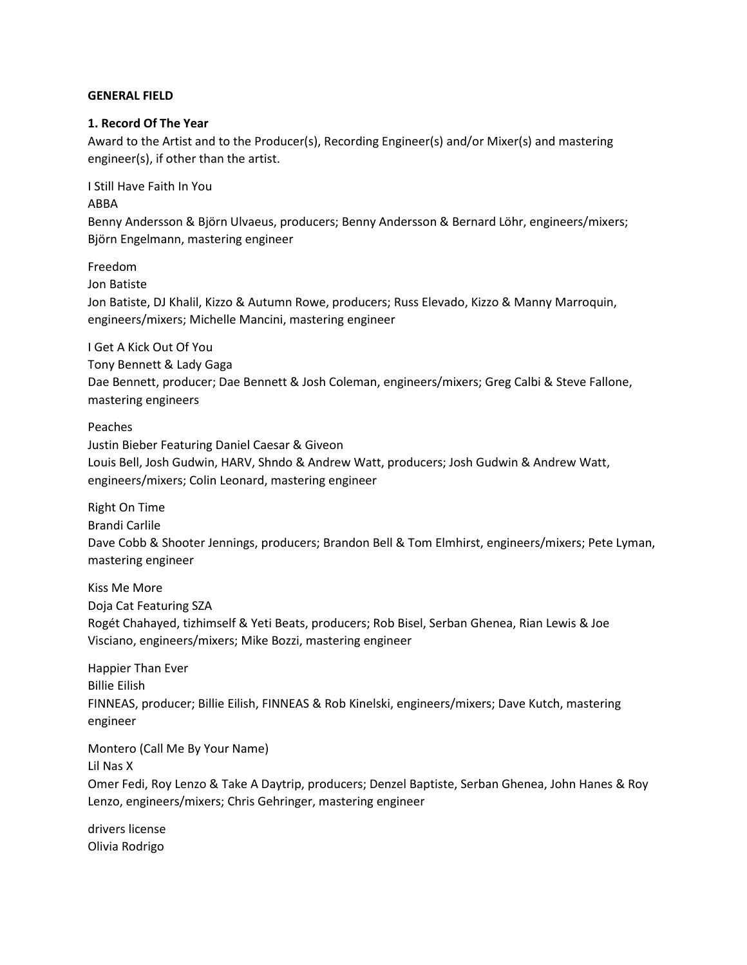## **GENERAL FIELD**

#### **1. Record Of The Year**

Award to the Artist and to the Producer(s), Recording Engineer(s) and/or Mixer(s) and mastering engineer(s), if other than the artist.

I Still Have Faith In You

## ABBA

Benny Andersson & Björn Ulvaeus, producers; Benny Andersson & Bernard Löhr, engineers/mixers; Björn Engelmann, mastering engineer

Freedom

Jon Batiste

Jon Batiste, DJ Khalil, Kizzo & Autumn Rowe, producers; Russ Elevado, Kizzo & Manny Marroquin, engineers/mixers; Michelle Mancini, mastering engineer

I Get A Kick Out Of You

Tony Bennett & Lady Gaga

Dae Bennett, producer; Dae Bennett & Josh Coleman, engineers/mixers; Greg Calbi & Steve Fallone, mastering engineers

#### Peaches

Justin Bieber Featuring Daniel Caesar & Giveon Louis Bell, Josh Gudwin, HARV, Shndo & Andrew Watt, producers; Josh Gudwin & Andrew Watt, engineers/mixers; Colin Leonard, mastering engineer

Right On Time

Brandi Carlile

Dave Cobb & Shooter Jennings, producers; Brandon Bell & Tom Elmhirst, engineers/mixers; Pete Lyman, mastering engineer

Kiss Me More

Doja Cat Featuring SZA

Rogét Chahayed, tizhimself & Yeti Beats, producers; Rob Bisel, Serban Ghenea, Rian Lewis & Joe Visciano, engineers/mixers; Mike Bozzi, mastering engineer

Happier Than Ever Billie Eilish

FINNEAS, producer; Billie Eilish, FINNEAS & Rob Kinelski, engineers/mixers; Dave Kutch, mastering engineer

Montero (Call Me By Your Name)

Lil Nas X

Omer Fedi, Roy Lenzo & Take A Daytrip, producers; Denzel Baptiste, Serban Ghenea, John Hanes & Roy Lenzo, engineers/mixers; Chris Gehringer, mastering engineer

drivers license Olivia Rodrigo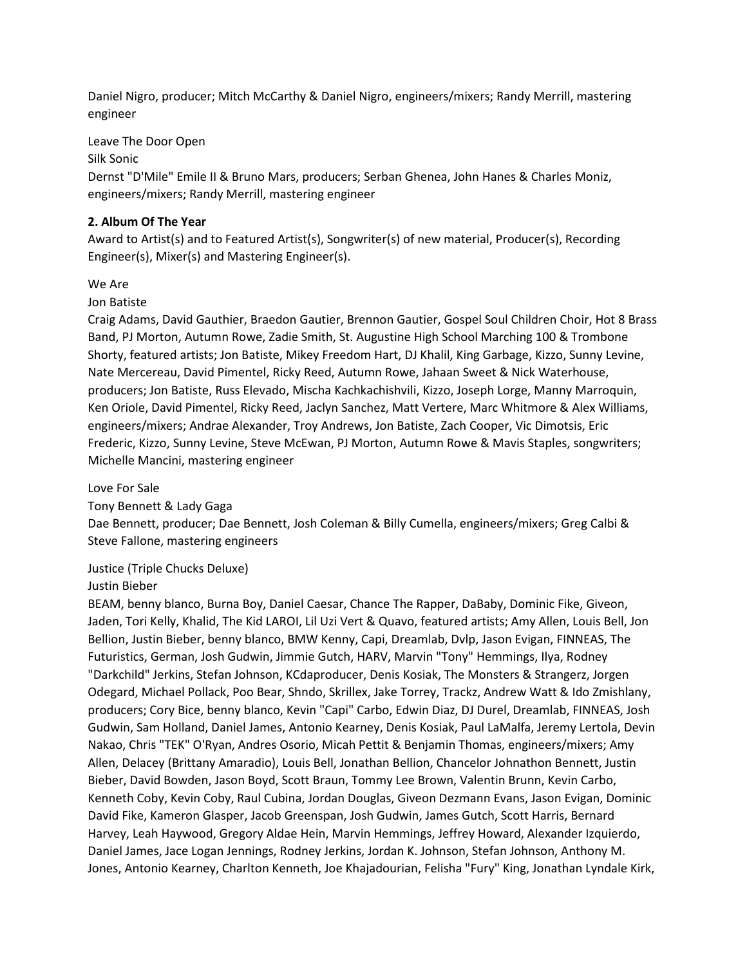Daniel Nigro, producer; Mitch McCarthy & Daniel Nigro, engineers/mixers; Randy Merrill, mastering engineer

## Leave The Door Open

## Silk Sonic

Dernst "D'Mile" Emile II & Bruno Mars, producers; Serban Ghenea, John Hanes & Charles Moniz, engineers/mixers; Randy Merrill, mastering engineer

## **2. Album Of The Year**

Award to Artist(s) and to Featured Artist(s), Songwriter(s) of new material, Producer(s), Recording Engineer(s), Mixer(s) and Mastering Engineer(s).

## We Are

## Jon Batiste

Craig Adams, David Gauthier, Braedon Gautier, Brennon Gautier, Gospel Soul Children Choir, Hot 8 Brass Band, PJ Morton, Autumn Rowe, Zadie Smith, St. Augustine High School Marching 100 & Trombone Shorty, featured artists; Jon Batiste, Mikey Freedom Hart, DJ Khalil, King Garbage, Kizzo, Sunny Levine, Nate Mercereau, David Pimentel, Ricky Reed, Autumn Rowe, Jahaan Sweet & Nick Waterhouse, producers; Jon Batiste, Russ Elevado, Mischa Kachkachishvili, Kizzo, Joseph Lorge, Manny Marroquin, Ken Oriole, David Pimentel, Ricky Reed, Jaclyn Sanchez, Matt Vertere, Marc Whitmore & Alex Williams, engineers/mixers; Andrae Alexander, Troy Andrews, Jon Batiste, Zach Cooper, Vic Dimotsis, Eric Frederic, Kizzo, Sunny Levine, Steve McEwan, PJ Morton, Autumn Rowe & Mavis Staples, songwriters; Michelle Mancini, mastering engineer

Love For Sale

Tony Bennett & Lady Gaga

Dae Bennett, producer; Dae Bennett, Josh Coleman & Billy Cumella, engineers/mixers; Greg Calbi & Steve Fallone, mastering engineers

# Justice (Triple Chucks Deluxe)

## Justin Bieber

BEAM, benny blanco, Burna Boy, Daniel Caesar, Chance The Rapper, DaBaby, Dominic Fike, Giveon, Jaden, Tori Kelly, Khalid, The Kid LAROI, Lil Uzi Vert & Quavo, featured artists; Amy Allen, Louis Bell, Jon Bellion, Justin Bieber, benny blanco, BMW Kenny, Capi, Dreamlab, Dvlp, Jason Evigan, FINNEAS, The Futuristics, German, Josh Gudwin, Jimmie Gutch, HARV, Marvin "Tony" Hemmings, Ilya, Rodney "Darkchild" Jerkins, Stefan Johnson, KCdaproducer, Denis Kosiak, The Monsters & Strangerz, Jorgen Odegard, Michael Pollack, Poo Bear, Shndo, Skrillex, Jake Torrey, Trackz, Andrew Watt & Ido Zmishlany, producers; Cory Bice, benny blanco, Kevin "Capi" Carbo, Edwin Diaz, DJ Durel, Dreamlab, FINNEAS, Josh Gudwin, Sam Holland, Daniel James, Antonio Kearney, Denis Kosiak, Paul LaMalfa, Jeremy Lertola, Devin Nakao, Chris "TEK" O'Ryan, Andres Osorio, Micah Pettit & Benjamin Thomas, engineers/mixers; Amy Allen, Delacey (Brittany Amaradio), Louis Bell, Jonathan Bellion, Chancelor Johnathon Bennett, Justin Bieber, David Bowden, Jason Boyd, Scott Braun, Tommy Lee Brown, Valentin Brunn, Kevin Carbo, Kenneth Coby, Kevin Coby, Raul Cubina, Jordan Douglas, Giveon Dezmann Evans, Jason Evigan, Dominic David Fike, Kameron Glasper, Jacob Greenspan, Josh Gudwin, James Gutch, Scott Harris, Bernard Harvey, Leah Haywood, Gregory Aldae Hein, Marvin Hemmings, Jeffrey Howard, Alexander Izquierdo, Daniel James, Jace Logan Jennings, Rodney Jerkins, Jordan K. Johnson, Stefan Johnson, Anthony M. Jones, Antonio Kearney, Charlton Kenneth, Joe Khajadourian, Felisha "Fury" King, Jonathan Lyndale Kirk,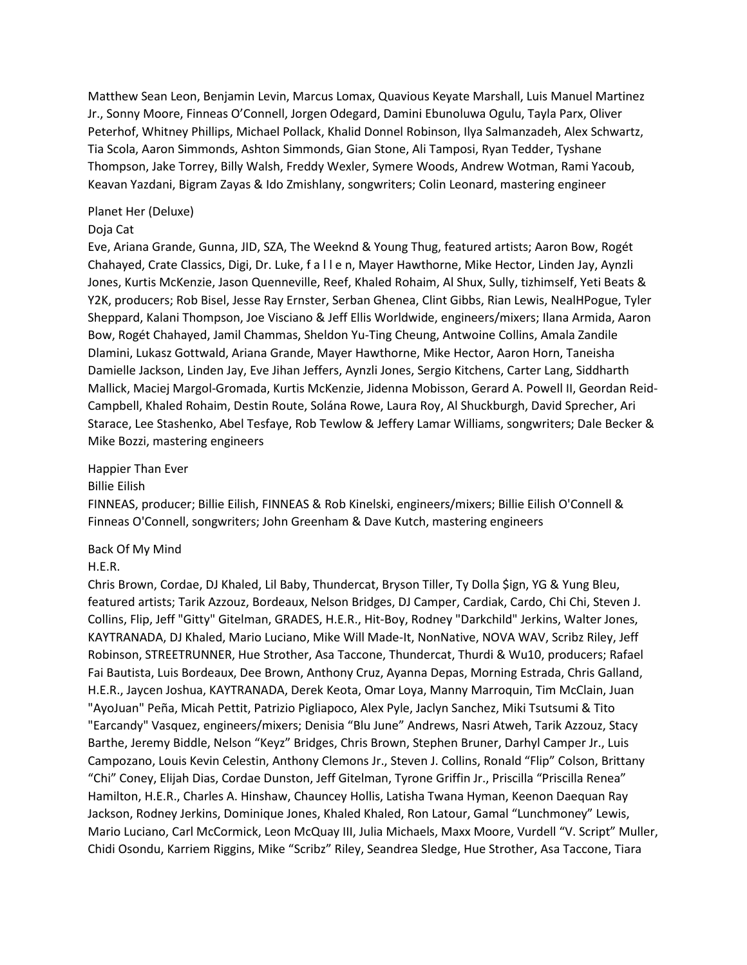Matthew Sean Leon, Benjamin Levin, Marcus Lomax, Quavious Keyate Marshall, Luis Manuel Martinez Jr., Sonny Moore, Finneas O'Connell, Jorgen Odegard, Damini Ebunoluwa Ogulu, Tayla Parx, Oliver Peterhof, Whitney Phillips, Michael Pollack, Khalid Donnel Robinson, Ilya Salmanzadeh, Alex Schwartz, Tia Scola, Aaron Simmonds, Ashton Simmonds, Gian Stone, Ali Tamposi, Ryan Tedder, Tyshane Thompson, Jake Torrey, Billy Walsh, Freddy Wexler, Symere Woods, Andrew Wotman, Rami Yacoub, Keavan Yazdani, Bigram Zayas & Ido Zmishlany, songwriters; Colin Leonard, mastering engineer

#### Planet Her (Deluxe)

#### Doja Cat

Eve, Ariana Grande, Gunna, JID, SZA, The Weeknd & Young Thug, featured artists; Aaron Bow, Rogét Chahayed, Crate Classics, Digi, Dr. Luke, f a l l e n, Mayer Hawthorne, Mike Hector, Linden Jay, Aynzli Jones, Kurtis McKenzie, Jason Quenneville, Reef, Khaled Rohaim, Al Shux, Sully, tizhimself, Yeti Beats & Y2K, producers; Rob Bisel, Jesse Ray Ernster, Serban Ghenea, Clint Gibbs, Rian Lewis, NealHPogue, Tyler Sheppard, Kalani Thompson, Joe Visciano & Jeff Ellis Worldwide, engineers/mixers; Ilana Armida, Aaron Bow, Rogét Chahayed, Jamil Chammas, Sheldon Yu-Ting Cheung, Antwoine Collins, Amala Zandile Dlamini, Lukasz Gottwald, Ariana Grande, Mayer Hawthorne, Mike Hector, Aaron Horn, Taneisha Damielle Jackson, Linden Jay, Eve Jihan Jeffers, Aynzli Jones, Sergio Kitchens, Carter Lang, Siddharth Mallick, Maciej Margol-Gromada, Kurtis McKenzie, Jidenna Mobisson, Gerard A. Powell II, Geordan Reid-Campbell, Khaled Rohaim, Destin Route, Solána Rowe, Laura Roy, Al Shuckburgh, David Sprecher, Ari Starace, Lee Stashenko, Abel Tesfaye, Rob Tewlow & Jeffery Lamar Williams, songwriters; Dale Becker & Mike Bozzi, mastering engineers

#### Happier Than Ever

#### Billie Eilish

FINNEAS, producer; Billie Eilish, FINNEAS & Rob Kinelski, engineers/mixers; Billie Eilish O'Connell & Finneas O'Connell, songwriters; John Greenham & Dave Kutch, mastering engineers

#### Back Of My Mind

## H.E.R.

Chris Brown, Cordae, DJ Khaled, Lil Baby, Thundercat, Bryson Tiller, Ty Dolla \$ign, YG & Yung Bleu, featured artists; Tarik Azzouz, Bordeaux, Nelson Bridges, DJ Camper, Cardiak, Cardo, Chi Chi, Steven J. Collins, Flip, Jeff "Gitty" Gitelman, GRADES, H.E.R., Hit-Boy, Rodney "Darkchild" Jerkins, Walter Jones, KAYTRANADA, DJ Khaled, Mario Luciano, Mike Will Made-It, NonNative, NOVA WAV, Scribz Riley, Jeff Robinson, STREETRUNNER, Hue Strother, Asa Taccone, Thundercat, Thurdi & Wu10, producers; Rafael Fai Bautista, Luis Bordeaux, Dee Brown, Anthony Cruz, Ayanna Depas, Morning Estrada, Chris Galland, H.E.R., Jaycen Joshua, KAYTRANADA, Derek Keota, Omar Loya, Manny Marroquin, Tim McClain, Juan "AyoJuan" Peña, Micah Pettit, Patrizio Pigliapoco, Alex Pyle, Jaclyn Sanchez, Miki Tsutsumi & Tito "Earcandy" Vasquez, engineers/mixers; Denisia "Blu June" Andrews, Nasri Atweh, Tarik Azzouz, Stacy Barthe, Jeremy Biddle, Nelson "Keyz" Bridges, Chris Brown, Stephen Bruner, Darhyl Camper Jr., Luis Campozano, Louis Kevin Celestin, Anthony Clemons Jr., Steven J. Collins, Ronald "Flip" Colson, Brittany "Chi" Coney, Elijah Dias, Cordae Dunston, Jeff Gitelman, Tyrone Griffin Jr., Priscilla "Priscilla Renea" Hamilton, H.E.R., Charles A. Hinshaw, Chauncey Hollis, Latisha Twana Hyman, Keenon Daequan Ray Jackson, Rodney Jerkins, Dominique Jones, Khaled Khaled, Ron Latour, Gamal "Lunchmoney" Lewis, Mario Luciano, Carl McCormick, Leon McQuay III, Julia Michaels, Maxx Moore, Vurdell "V. Script" Muller, Chidi Osondu, Karriem Riggins, Mike "Scribz" Riley, Seandrea Sledge, Hue Strother, Asa Taccone, Tiara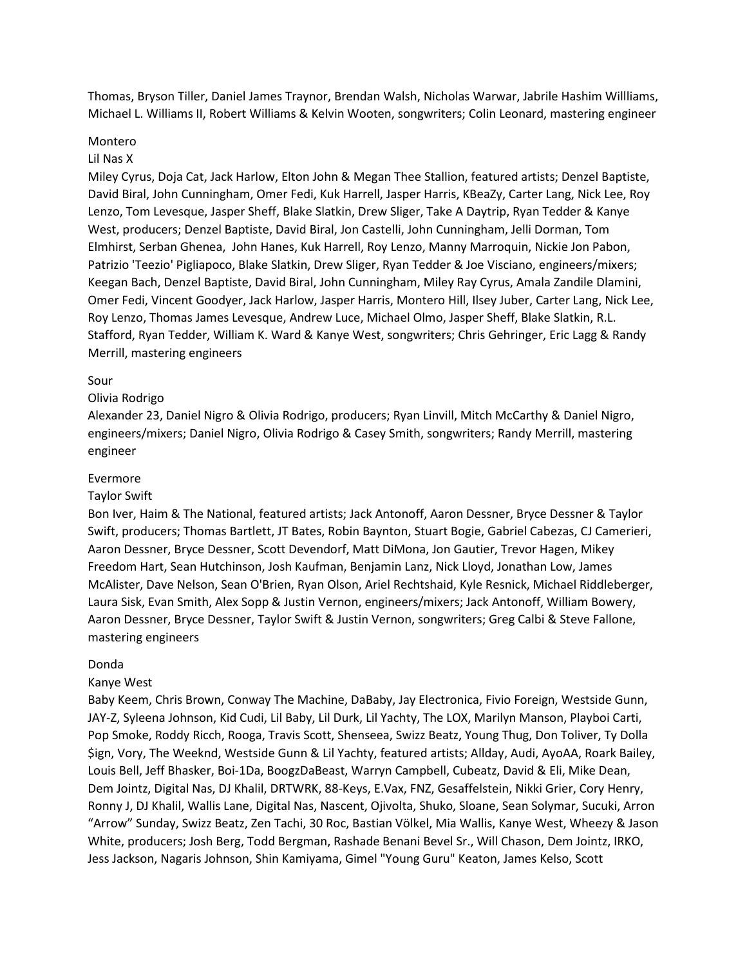Thomas, Bryson Tiller, Daniel James Traynor, Brendan Walsh, Nicholas Warwar, Jabrile Hashim Willliams, Michael L. Williams II, Robert Williams & Kelvin Wooten, songwriters; Colin Leonard, mastering engineer

#### Montero

#### Lil Nas X

Miley Cyrus, Doja Cat, Jack Harlow, Elton John & Megan Thee Stallion, featured artists; Denzel Baptiste, David Biral, John Cunningham, Omer Fedi, Kuk Harrell, Jasper Harris, KBeaZy, Carter Lang, Nick Lee, Roy Lenzo, Tom Levesque, Jasper Sheff, Blake Slatkin, Drew Sliger, Take A Daytrip, Ryan Tedder & Kanye West, producers; Denzel Baptiste, David Biral, Jon Castelli, John Cunningham, Jelli Dorman, Tom Elmhirst, Serban Ghenea, John Hanes, Kuk Harrell, Roy Lenzo, Manny Marroquin, Nickie Jon Pabon, Patrizio 'Teezio' Pigliapoco, Blake Slatkin, Drew Sliger, Ryan Tedder & Joe Visciano, engineers/mixers; Keegan Bach, Denzel Baptiste, David Biral, John Cunningham, Miley Ray Cyrus, Amala Zandile Dlamini, Omer Fedi, Vincent Goodyer, Jack Harlow, Jasper Harris, Montero Hill, Ilsey Juber, Carter Lang, Nick Lee, Roy Lenzo, Thomas James Levesque, Andrew Luce, Michael Olmo, Jasper Sheff, Blake Slatkin, R.L. Stafford, Ryan Tedder, William K. Ward & Kanye West, songwriters; Chris Gehringer, Eric Lagg & Randy Merrill, mastering engineers

#### Sour

#### Olivia Rodrigo

Alexander 23, Daniel Nigro & Olivia Rodrigo, producers; Ryan Linvill, Mitch McCarthy & Daniel Nigro, engineers/mixers; Daniel Nigro, Olivia Rodrigo & Casey Smith, songwriters; Randy Merrill, mastering engineer

#### Evermore

#### Taylor Swift

Bon Iver, Haim & The National, featured artists; Jack Antonoff, Aaron Dessner, Bryce Dessner & Taylor Swift, producers; Thomas Bartlett, JT Bates, Robin Baynton, Stuart Bogie, Gabriel Cabezas, CJ Camerieri, Aaron Dessner, Bryce Dessner, Scott Devendorf, Matt DiMona, Jon Gautier, Trevor Hagen, Mikey Freedom Hart, Sean Hutchinson, Josh Kaufman, Benjamin Lanz, Nick Lloyd, Jonathan Low, James McAlister, Dave Nelson, Sean O'Brien, Ryan Olson, Ariel Rechtshaid, Kyle Resnick, Michael Riddleberger, Laura Sisk, Evan Smith, Alex Sopp & Justin Vernon, engineers/mixers; Jack Antonoff, William Bowery, Aaron Dessner, Bryce Dessner, Taylor Swift & Justin Vernon, songwriters; Greg Calbi & Steve Fallone, mastering engineers

#### Donda

#### Kanye West

Baby Keem, Chris Brown, Conway The Machine, DaBaby, Jay Electronica, Fivio Foreign, Westside Gunn, JAY-Z, Syleena Johnson, Kid Cudi, Lil Baby, Lil Durk, Lil Yachty, The LOX, Marilyn Manson, Playboi Carti, Pop Smoke, Roddy Ricch, Rooga, Travis Scott, Shenseea, Swizz Beatz, Young Thug, Don Toliver, Ty Dolla \$ign, Vory, The Weeknd, Westside Gunn & Lil Yachty, featured artists; Allday, Audi, AyoAA, Roark Bailey, Louis Bell, Jeff Bhasker, Boi-1Da, BoogzDaBeast, Warryn Campbell, Cubeatz, David & Eli, Mike Dean, Dem Jointz, Digital Nas, DJ Khalil, DRTWRK, 88-Keys, E.Vax, FNZ, Gesaffelstein, Nikki Grier, Cory Henry, Ronny J, DJ Khalil, Wallis Lane, Digital Nas, Nascent, Ojivolta, Shuko, Sloane, Sean Solymar, Sucuki, Arron "Arrow" Sunday, Swizz Beatz, Zen Tachi, 30 Roc, Bastian Völkel, Mia Wallis, Kanye West, Wheezy & Jason White, producers; Josh Berg, Todd Bergman, Rashade Benani Bevel Sr., Will Chason, Dem Jointz, IRKO, Jess Jackson, Nagaris Johnson, Shin Kamiyama, Gimel "Young Guru" Keaton, James Kelso, Scott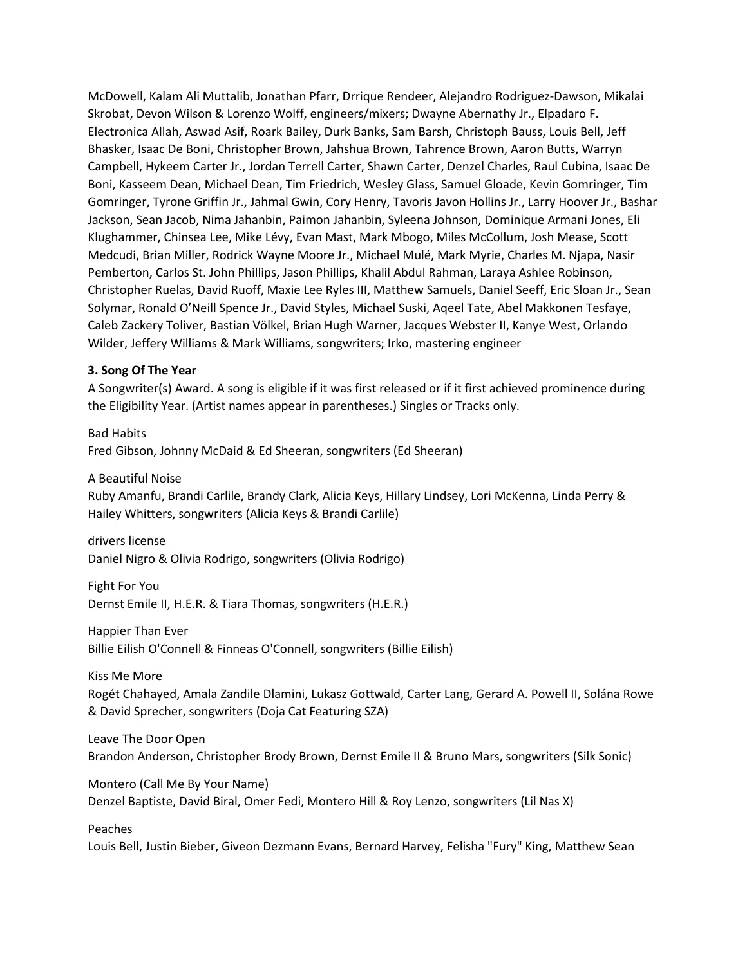McDowell, Kalam Ali Muttalib, Jonathan Pfarr, Drrique Rendeer, Alejandro Rodriguez-Dawson, Mikalai Skrobat, Devon Wilson & Lorenzo Wolff, engineers/mixers; Dwayne Abernathy Jr., Elpadaro F. Electronica Allah, Aswad Asif, Roark Bailey, Durk Banks, Sam Barsh, Christoph Bauss, Louis Bell, Jeff Bhasker, Isaac De Boni, Christopher Brown, Jahshua Brown, Tahrence Brown, Aaron Butts, Warryn Campbell, Hykeem Carter Jr., Jordan Terrell Carter, Shawn Carter, Denzel Charles, Raul Cubina, Isaac De Boni, Kasseem Dean, Michael Dean, Tim Friedrich, Wesley Glass, Samuel Gloade, Kevin Gomringer, Tim Gomringer, Tyrone Griffin Jr., Jahmal Gwin, Cory Henry, Tavoris Javon Hollins Jr., Larry Hoover Jr., Bashar Jackson, Sean Jacob, Nima Jahanbin, Paimon Jahanbin, Syleena Johnson, Dominique Armani Jones, Eli Klughammer, Chinsea Lee, Mike Lévy, Evan Mast, Mark Mbogo, Miles McCollum, Josh Mease, Scott Medcudi, Brian Miller, Rodrick Wayne Moore Jr., Michael Mulé, Mark Myrie, Charles M. Njapa, Nasir Pemberton, Carlos St. John Phillips, Jason Phillips, Khalil Abdul Rahman, Laraya Ashlee Robinson, Christopher Ruelas, David Ruoff, Maxie Lee Ryles III, Matthew Samuels, Daniel Seeff, Eric Sloan Jr., Sean Solymar, Ronald O'Neill Spence Jr., David Styles, Michael Suski, Aqeel Tate, Abel Makkonen Tesfaye, Caleb Zackery Toliver, Bastian Völkel, Brian Hugh Warner, Jacques Webster II, Kanye West, Orlando Wilder, Jeffery Williams & Mark Williams, songwriters; Irko, mastering engineer

#### **3. Song Of The Year**

A Songwriter(s) Award. A song is eligible if it was first released or if it first achieved prominence during the Eligibility Year. (Artist names appear in parentheses.) Singles or Tracks only.

Bad Habits Fred Gibson, Johnny McDaid & Ed Sheeran, songwriters (Ed Sheeran)

A Beautiful Noise

Ruby Amanfu, Brandi Carlile, Brandy Clark, Alicia Keys, Hillary Lindsey, Lori McKenna, Linda Perry & Hailey Whitters, songwriters (Alicia Keys & Brandi Carlile)

drivers license Daniel Nigro & Olivia Rodrigo, songwriters (Olivia Rodrigo)

Fight For You Dernst Emile II, H.E.R. & Tiara Thomas, songwriters (H.E.R.)

Happier Than Ever Billie Eilish O'Connell & Finneas O'Connell, songwriters (Billie Eilish)

Kiss Me More

Rogét Chahayed, Amala Zandile Dlamini, Lukasz Gottwald, Carter Lang, Gerard A. Powell II, Solána Rowe & David Sprecher, songwriters (Doja Cat Featuring SZA)

Leave The Door Open Brandon Anderson, Christopher Brody Brown, Dernst Emile II & Bruno Mars, songwriters (Silk Sonic)

Montero (Call Me By Your Name) Denzel Baptiste, David Biral, Omer Fedi, Montero Hill & Roy Lenzo, songwriters (Lil Nas X)

Peaches

Louis Bell, Justin Bieber, Giveon Dezmann Evans, Bernard Harvey, Felisha "Fury" King, Matthew Sean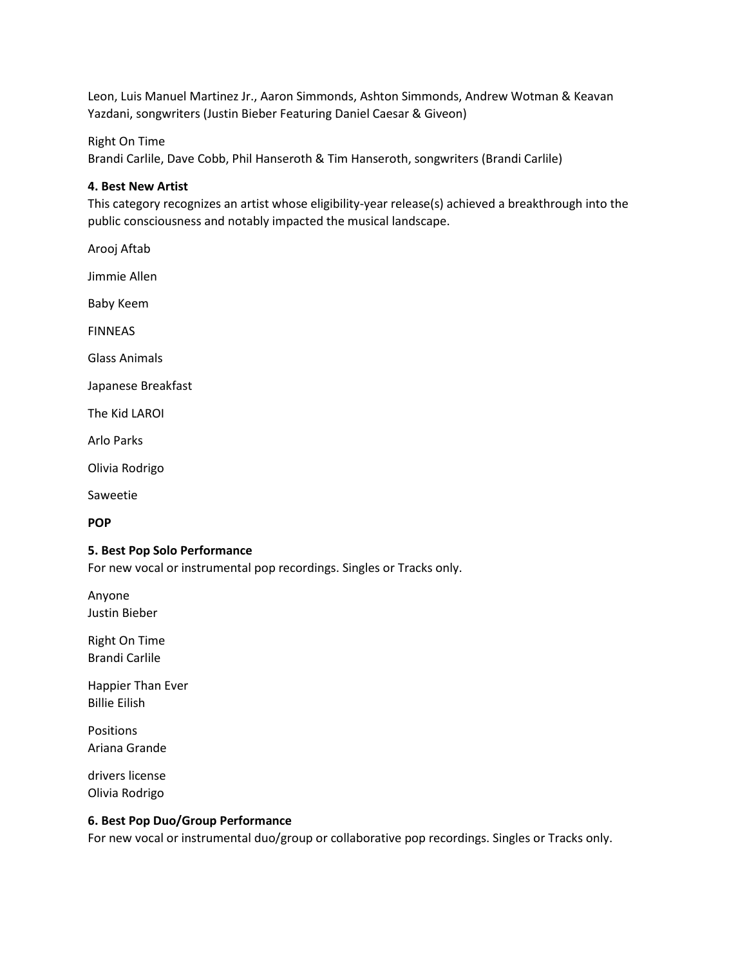Leon, Luis Manuel Martinez Jr., Aaron Simmonds, Ashton Simmonds, Andrew Wotman & Keavan Yazdani, songwriters (Justin Bieber Featuring Daniel Caesar & Giveon)

Right On Time

Brandi Carlile, Dave Cobb, Phil Hanseroth & Tim Hanseroth, songwriters (Brandi Carlile)

#### **4. Best New Artist**

This category recognizes an artist whose eligibility-year release(s) achieved a breakthrough into the public consciousness and notably impacted the musical landscape.

Arooj Aftab Jimmie Allen Baby Keem FINNEAS Glass Animals Japanese Breakfast The Kid LAROI Arlo Parks Olivia Rodrigo Saweetie **POP**

#### **5. Best Pop Solo Performance**

For new vocal or instrumental pop recordings. Singles or Tracks only.

Anyone Justin Bieber

Right On Time Brandi Carlile

Happier Than Ever Billie Eilish

Positions Ariana Grande

drivers license Olivia Rodrigo

#### **6. Best Pop Duo/Group Performance**

For new vocal or instrumental duo/group or collaborative pop recordings. Singles or Tracks only.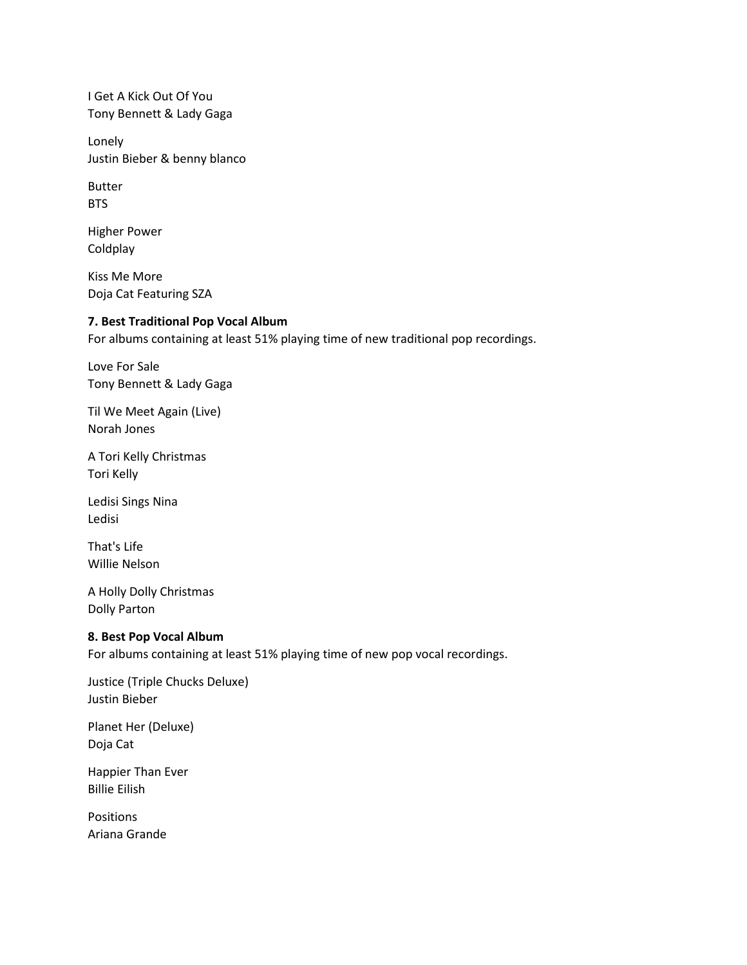I Get A Kick Out Of You Tony Bennett & Lady Gaga

Lonely Justin Bieber & benny blanco

Butter **BTS** 

Higher Power Coldplay

Kiss Me More Doja Cat Featuring SZA

# **7. Best Traditional Pop Vocal Album**

For albums containing at least 51% playing time of new traditional pop recordings.

Love For Sale Tony Bennett & Lady Gaga

Til We Meet Again (Live) Norah Jones

A Tori Kelly Christmas Tori Kelly

Ledisi Sings Nina Ledisi

That's Life Willie Nelson

A Holly Dolly Christmas Dolly Parton

## **8. Best Pop Vocal Album**

For albums containing at least 51% playing time of new pop vocal recordings.

Justice (Triple Chucks Deluxe) Justin Bieber

Planet Her (Deluxe) Doja Cat

Happier Than Ever Billie Eilish

Positions Ariana Grande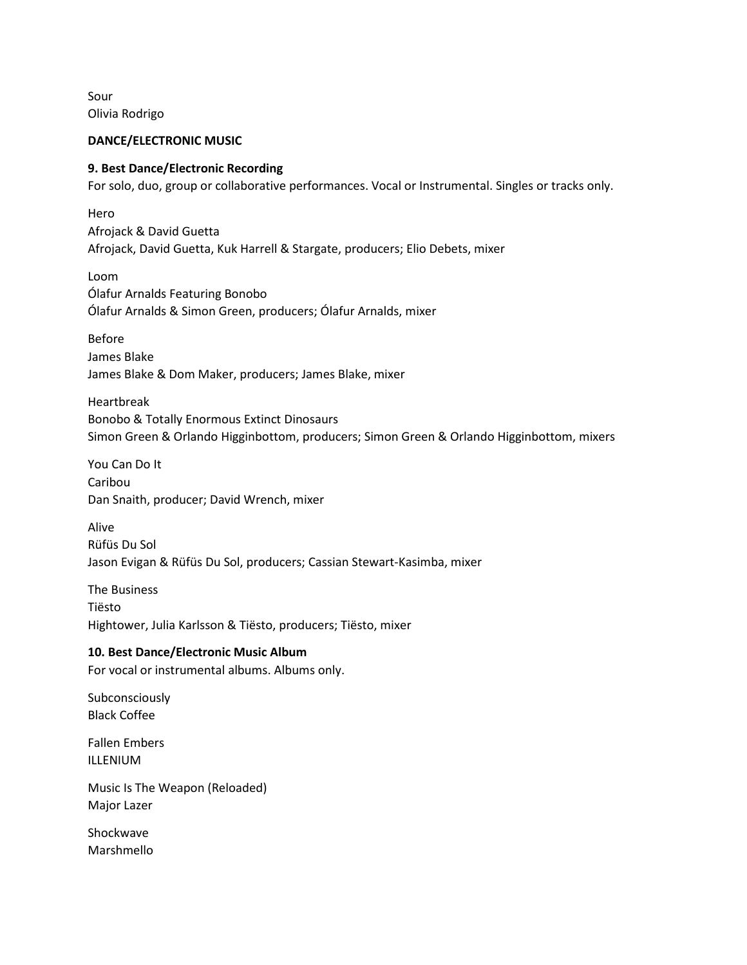Sour Olivia Rodrigo

#### **DANCE/ELECTRONIC MUSIC**

## **9. Best Dance/Electronic Recording**

For solo, duo, group or collaborative performances. Vocal or Instrumental. Singles or tracks only.

Hero

Afrojack & David Guetta Afrojack, David Guetta, Kuk Harrell & Stargate, producers; Elio Debets, mixer

Loom Ólafur Arnalds Featuring Bonobo Ólafur Arnalds & Simon Green, producers; Ólafur Arnalds, mixer

Before James Blake James Blake & Dom Maker, producers; James Blake, mixer

Heartbreak Bonobo & Totally Enormous Extinct Dinosaurs Simon Green & Orlando Higginbottom, producers; Simon Green & Orlando Higginbottom, mixers

You Can Do It Caribou Dan Snaith, producer; David Wrench, mixer

Alive Rüfüs Du Sol Jason Evigan & Rüfüs Du Sol, producers; Cassian Stewart-Kasimba, mixer

The Business Tiësto Hightower, Julia Karlsson & Tiësto, producers; Tiësto, mixer

## **10. Best Dance/Electronic Music Album**

For vocal or instrumental albums. Albums only.

Subconsciously Black Coffee

Fallen Embers ILLENIUM

Music Is The Weapon (Reloaded) Major Lazer

Shockwave Marshmello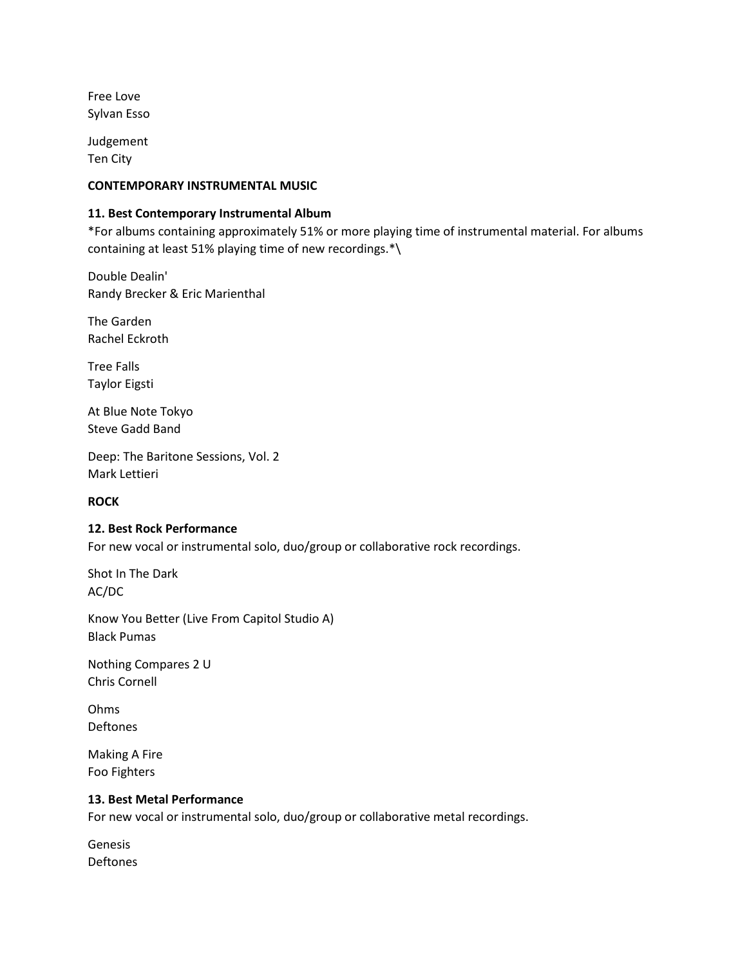Free Love Sylvan Esso

Judgement Ten City

#### **CONTEMPORARY INSTRUMENTAL MUSIC**

#### **11. Best Contemporary Instrumental Album**

\*For albums containing approximately 51% or more playing time of instrumental material. For albums containing at least 51% playing time of new recordings.\*\

Double Dealin' Randy Brecker & Eric Marienthal

The Garden Rachel Eckroth

Tree Falls Taylor Eigsti

At Blue Note Tokyo Steve Gadd Band

Deep: The Baritone Sessions, Vol. 2 Mark Lettieri

## **ROCK**

#### **12. Best Rock Performance**

For new vocal or instrumental solo, duo/group or collaborative rock recordings.

Shot In The Dark AC/DC

Know You Better (Live From Capitol Studio A) Black Pumas

Nothing Compares 2 U Chris Cornell

Ohms **Deftones** 

Making A Fire Foo Fighters

## **13. Best Metal Performance**

For new vocal or instrumental solo, duo/group or collaborative metal recordings.

Genesis **Deftones**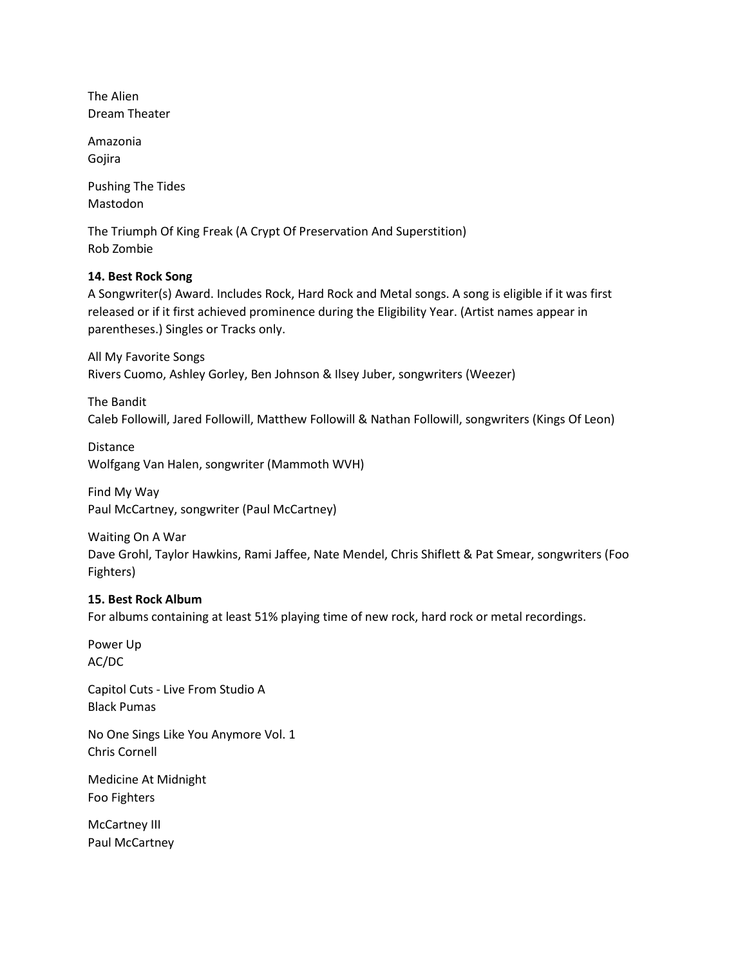The Alien Dream Theater

Amazonia Gojira

Pushing The Tides Mastodon

The Triumph Of King Freak (A Crypt Of Preservation And Superstition) Rob Zombie

## **14. Best Rock Song**

A Songwriter(s) Award. Includes Rock, Hard Rock and Metal songs. A song is eligible if it was first released or if it first achieved prominence during the Eligibility Year. (Artist names appear in parentheses.) Singles or Tracks only.

All My Favorite Songs Rivers Cuomo, Ashley Gorley, Ben Johnson & Ilsey Juber, songwriters (Weezer)

The Bandit Caleb Followill, Jared Followill, Matthew Followill & Nathan Followill, songwriters (Kings Of Leon)

Distance Wolfgang Van Halen, songwriter (Mammoth WVH)

Find My Way Paul McCartney, songwriter (Paul McCartney)

Waiting On A War Dave Grohl, Taylor Hawkins, Rami Jaffee, Nate Mendel, Chris Shiflett & Pat Smear, songwriters (Foo Fighters)

## **15. Best Rock Album**

For albums containing at least 51% playing time of new rock, hard rock or metal recordings.

Power Up AC/DC

Capitol Cuts - Live From Studio A Black Pumas

No One Sings Like You Anymore Vol. 1 Chris Cornell

Medicine At Midnight Foo Fighters

McCartney III Paul McCartney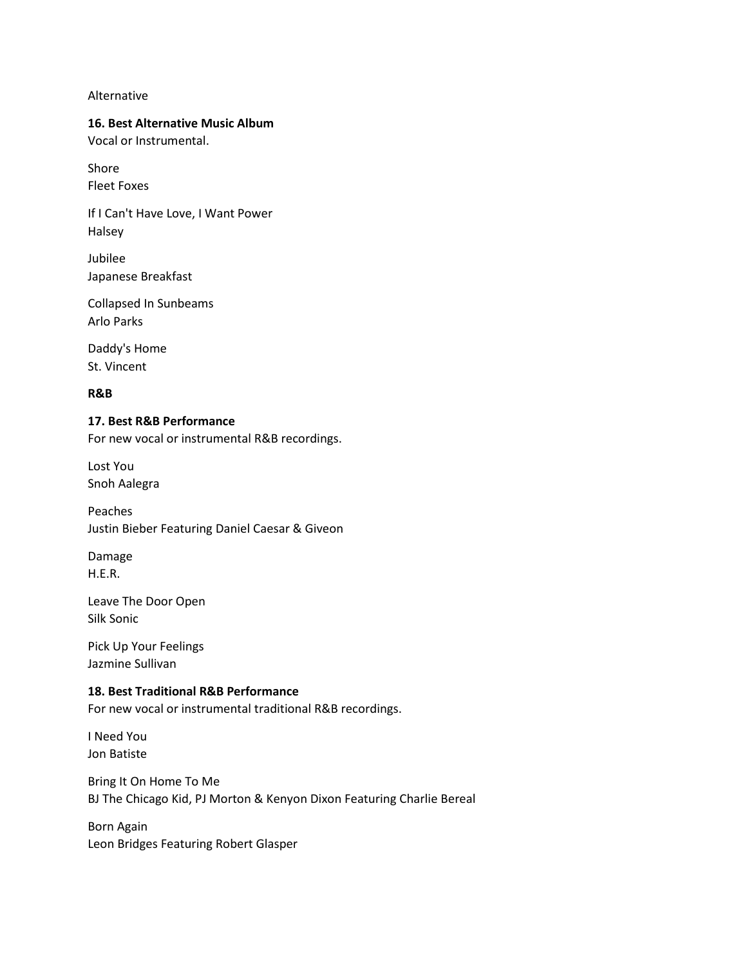#### Alternative

#### **16. Best Alternative Music Album**

Vocal or Instrumental.

Shore Fleet Foxes

If I Can't Have Love, I Want Power Halsey

Jubilee Japanese Breakfast

Collapsed In Sunbeams Arlo Parks

Daddy's Home St. Vincent

#### **R&B**

# **17. Best R&B Performance** For new vocal or instrumental R&B recordings.

Lost You Snoh Aalegra

Peaches Justin Bieber Featuring Daniel Caesar & Giveon

Damage H.E.R.

Leave The Door Open Silk Sonic

Pick Up Your Feelings Jazmine Sullivan

## **18. Best Traditional R&B Performance**

For new vocal or instrumental traditional R&B recordings.

I Need You Jon Batiste

Bring It On Home To Me BJ The Chicago Kid, PJ Morton & Kenyon Dixon Featuring Charlie Bereal

Born Again Leon Bridges Featuring Robert Glasper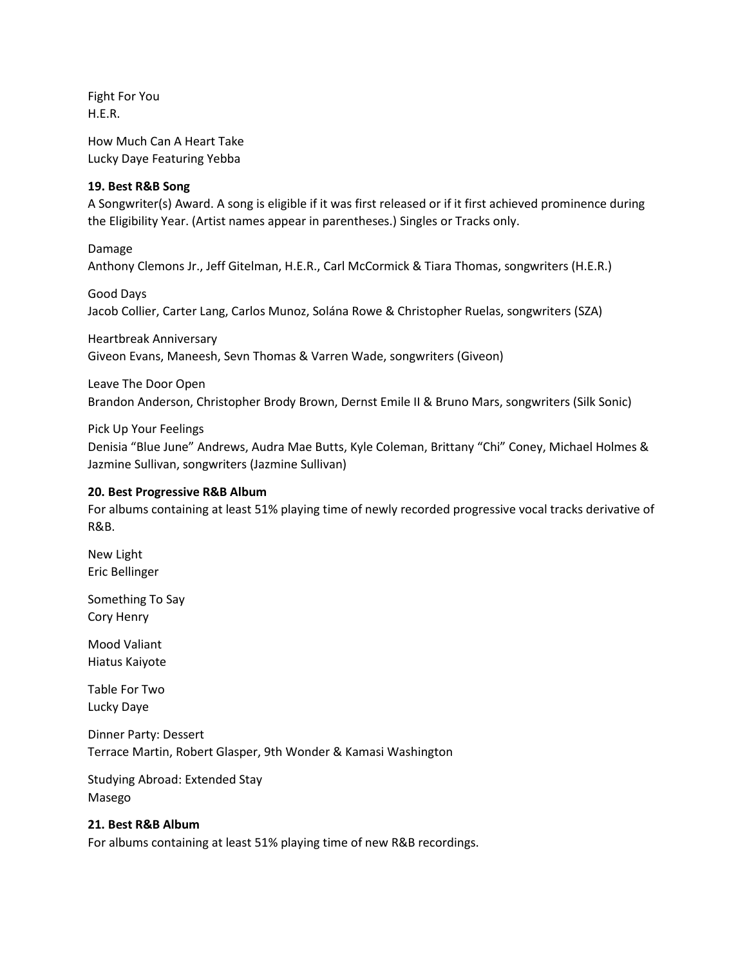Fight For You H.E.R.

How Much Can A Heart Take Lucky Daye Featuring Yebba

#### **19. Best R&B Song**

A Songwriter(s) Award. A song is eligible if it was first released or if it first achieved prominence during the Eligibility Year. (Artist names appear in parentheses.) Singles or Tracks only.

Damage Anthony Clemons Jr., Jeff Gitelman, H.E.R., Carl McCormick & Tiara Thomas, songwriters (H.E.R.)

Good Days Jacob Collier, Carter Lang, Carlos Munoz, Solána Rowe & Christopher Ruelas, songwriters (SZA)

Heartbreak Anniversary Giveon Evans, Maneesh, Sevn Thomas & Varren Wade, songwriters (Giveon)

Leave The Door Open Brandon Anderson, Christopher Brody Brown, Dernst Emile II & Bruno Mars, songwriters (Silk Sonic)

Pick Up Your Feelings

Denisia "Blue June" Andrews, Audra Mae Butts, Kyle Coleman, Brittany "Chi" Coney, Michael Holmes & Jazmine Sullivan, songwriters (Jazmine Sullivan)

#### **20. Best Progressive R&B Album**

For albums containing at least 51% playing time of newly recorded progressive vocal tracks derivative of R&B.

New Light Eric Bellinger

Something To Say Cory Henry

Mood Valiant Hiatus Kaiyote

Table For Two Lucky Daye

Dinner Party: Dessert Terrace Martin, Robert Glasper, 9th Wonder & Kamasi Washington

Studying Abroad: Extended Stay Masego

# **21. Best R&B Album**

For albums containing at least 51% playing time of new R&B recordings.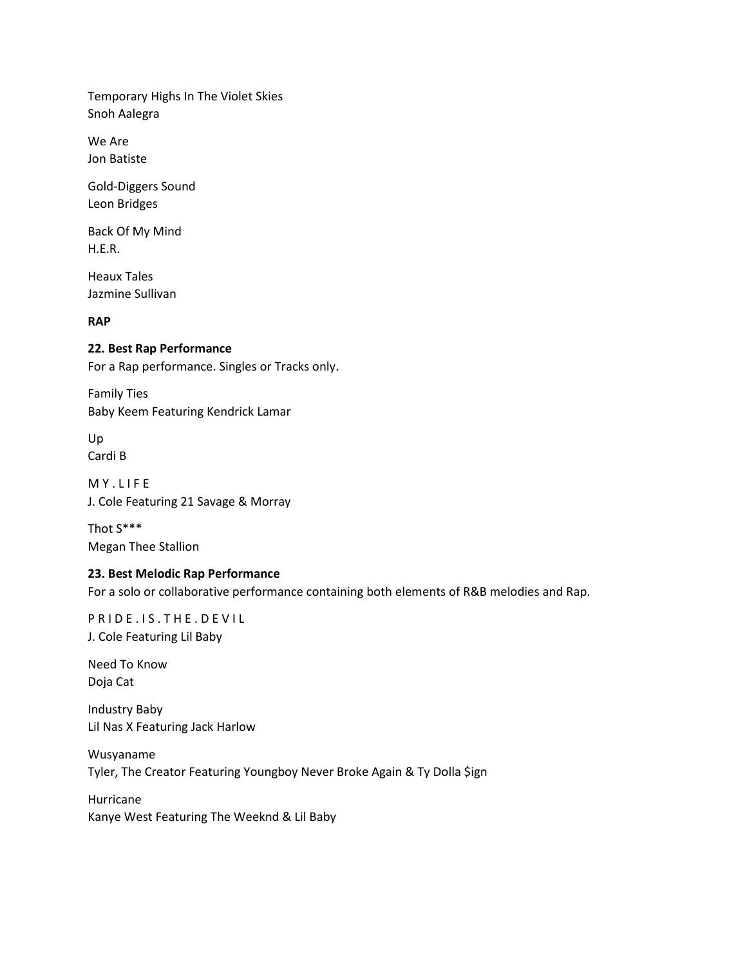Temporary Highs In The Violet Skies Snoh Aalegra

We Are Jon Batiste

Gold-Diggers Sound Leon Bridges

Back Of My Mind H.E.R.

Heaux Tales Jazmine Sullivan

**RAP**

# **22. Best Rap Performance**

For a Rap performance. Singles or Tracks only.

Family Ties Baby Keem Featuring Kendrick Lamar

Up Cardi B

M Y . L I F E J. Cole Featuring 21 Savage & Morray

Thot S\*\*\* Megan Thee Stallion

# **23. Best Melodic Rap Performance**

For a solo or collaborative performance containing both elements of R&B melodies and Rap.

P R I D E . I S . T H E . D E V I L J. Cole Featuring Lil Baby

Need To Know Doja Cat

Industry Baby Lil Nas X Featuring Jack Harlow

Wusyaname Tyler, The Creator Featuring Youngboy Never Broke Again & Ty Dolla \$ign

Hurricane Kanye West Featuring The Weeknd & Lil Baby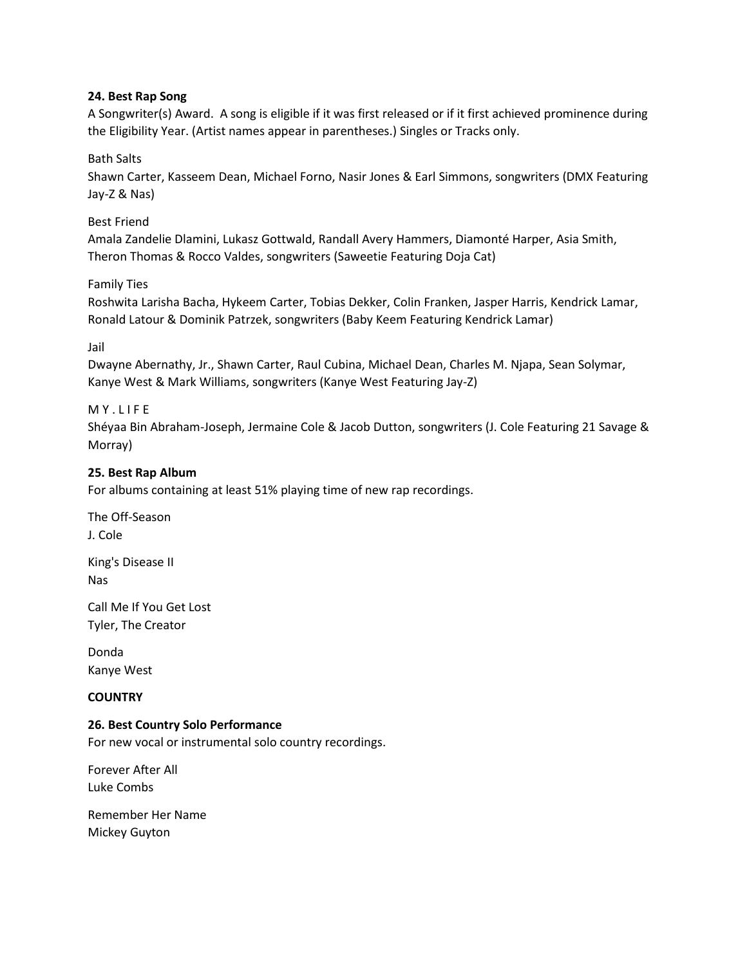## **24. Best Rap Song**

A Songwriter(s) Award. A song is eligible if it was first released or if it first achieved prominence during the Eligibility Year. (Artist names appear in parentheses.) Singles or Tracks only.

# Bath Salts

Shawn Carter, Kasseem Dean, Michael Forno, Nasir Jones & Earl Simmons, songwriters (DMX Featuring Jay-Z & Nas)

## Best Friend

Amala Zandelie Dlamini, Lukasz Gottwald, Randall Avery Hammers, Diamonté Harper, Asia Smith, Theron Thomas & Rocco Valdes, songwriters (Saweetie Featuring Doja Cat)

## Family Ties

Roshwita Larisha Bacha, Hykeem Carter, Tobias Dekker, Colin Franken, Jasper Harris, Kendrick Lamar, Ronald Latour & Dominik Patrzek, songwriters (Baby Keem Featuring Kendrick Lamar)

Jail

Dwayne Abernathy, Jr., Shawn Carter, Raul Cubina, Michael Dean, Charles M. Njapa, Sean Solymar, Kanye West & Mark Williams, songwriters (Kanye West Featuring Jay-Z)

## M Y . L I F E

Shéyaa Bin Abraham-Joseph, Jermaine Cole & Jacob Dutton, songwriters (J. Cole Featuring 21 Savage & Morray)

## **25. Best Rap Album**

For albums containing at least 51% playing time of new rap recordings.

The Off-Season J. Cole

King's Disease II Nas

Call Me If You Get Lost Tyler, The Creator

Donda Kanye West

## **COUNTRY**

## **26. Best Country Solo Performance**

For new vocal or instrumental solo country recordings.

Forever After All Luke Combs

Remember Her Name Mickey Guyton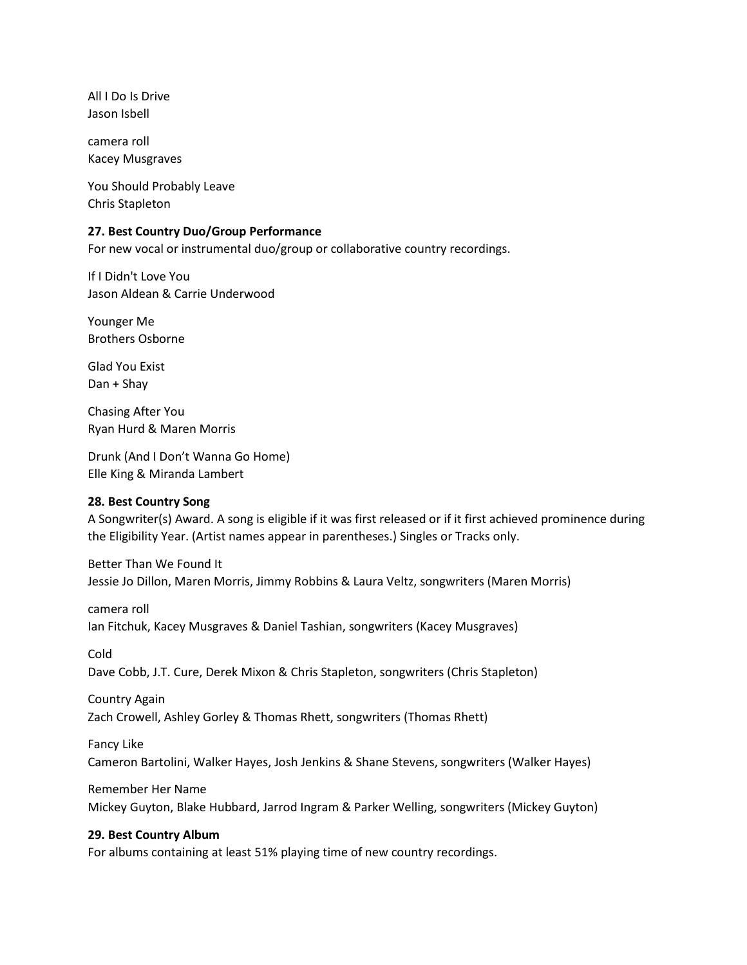All I Do Is Drive Jason Isbell

camera roll Kacey Musgraves

You Should Probably Leave Chris Stapleton

## **27. Best Country Duo/Group Performance**

For new vocal or instrumental duo/group or collaborative country recordings.

If I Didn't Love You Jason Aldean & Carrie Underwood

Younger Me Brothers Osborne

Glad You Exist Dan + Shay

Chasing After You Ryan Hurd & Maren Morris

Drunk (And I Don't Wanna Go Home) Elle King & Miranda Lambert

## **28. Best Country Song**

A Songwriter(s) Award. A song is eligible if it was first released or if it first achieved prominence during the Eligibility Year. (Artist names appear in parentheses.) Singles or Tracks only.

Better Than We Found It Jessie Jo Dillon, Maren Morris, Jimmy Robbins & Laura Veltz, songwriters (Maren Morris)

camera roll Ian Fitchuk, Kacey Musgraves & Daniel Tashian, songwriters (Kacey Musgraves)

Cold

Dave Cobb, J.T. Cure, Derek Mixon & Chris Stapleton, songwriters (Chris Stapleton)

Country Again Zach Crowell, Ashley Gorley & Thomas Rhett, songwriters (Thomas Rhett)

## Fancy Like

Cameron Bartolini, Walker Hayes, Josh Jenkins & Shane Stevens, songwriters (Walker Hayes)

## Remember Her Name

Mickey Guyton, Blake Hubbard, Jarrod Ingram & Parker Welling, songwriters (Mickey Guyton)

#### **29. Best Country Album**

For albums containing at least 51% playing time of new country recordings.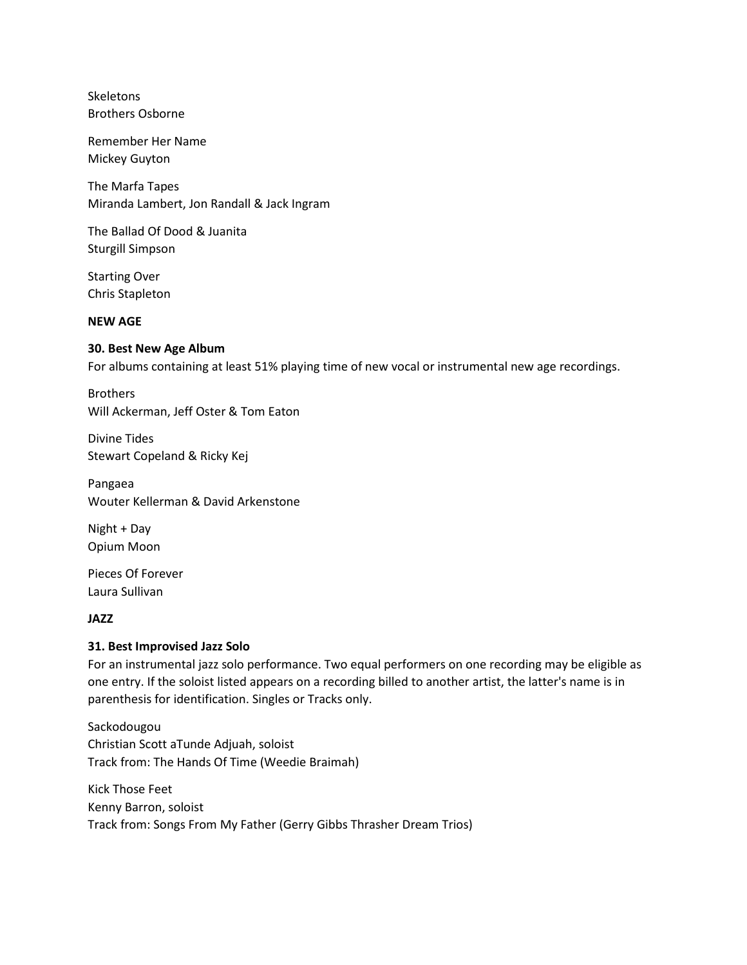**Skeletons** Brothers Osborne

Remember Her Name Mickey Guyton

The Marfa Tapes Miranda Lambert, Jon Randall & Jack Ingram

The Ballad Of Dood & Juanita Sturgill Simpson

Starting Over Chris Stapleton

## **NEW AGE**

## **30. Best New Age Album**

For albums containing at least 51% playing time of new vocal or instrumental new age recordings.

Brothers Will Ackerman, Jeff Oster & Tom Eaton

Divine Tides Stewart Copeland & Ricky Kej

Pangaea Wouter Kellerman & David Arkenstone

Night + Day Opium Moon

Pieces Of Forever Laura Sullivan

## **JAZZ**

## **31. Best Improvised Jazz Solo**

For an instrumental jazz solo performance. Two equal performers on one recording may be eligible as one entry. If the soloist listed appears on a recording billed to another artist, the latter's name is in parenthesis for identification. Singles or Tracks only.

Sackodougou Christian Scott aTunde Adjuah, soloist Track from: The Hands Of Time (Weedie Braimah)

Kick Those Feet Kenny Barron, soloist Track from: Songs From My Father (Gerry Gibbs Thrasher Dream Trios)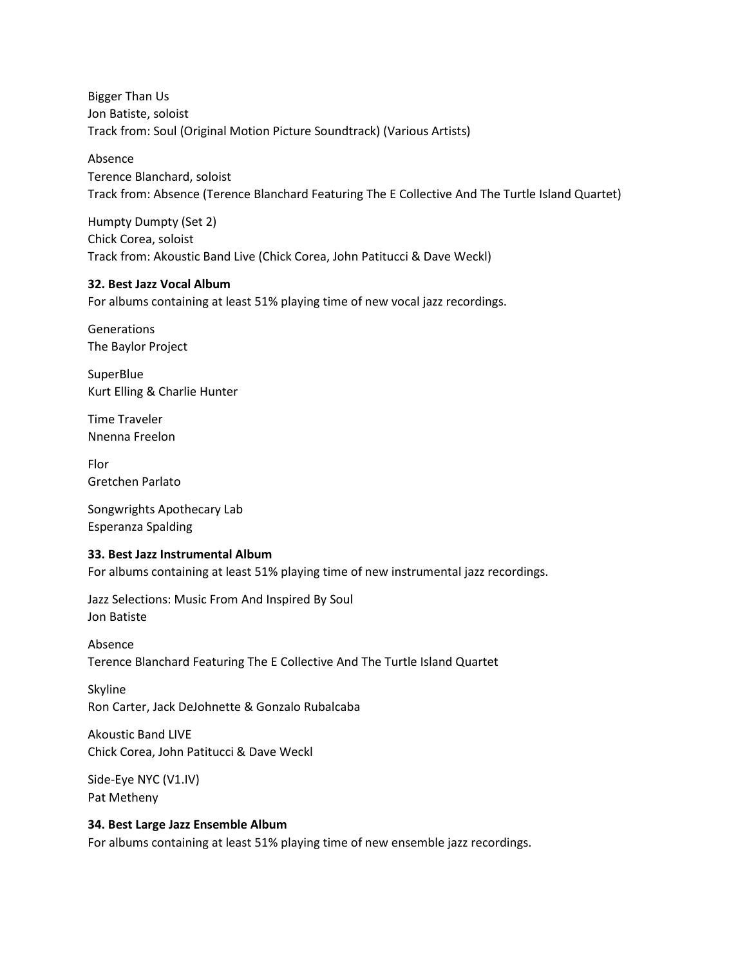Bigger Than Us Jon Batiste, soloist Track from: Soul (Original Motion Picture Soundtrack) (Various Artists)

#### Absence

Terence Blanchard, soloist Track from: Absence (Terence Blanchard Featuring The E Collective And The Turtle Island Quartet)

Humpty Dumpty (Set 2) Chick Corea, soloist Track from: Akoustic Band Live (Chick Corea, John Patitucci & Dave Weckl)

#### **32. Best Jazz Vocal Album**

For albums containing at least 51% playing time of new vocal jazz recordings.

**Generations** The Baylor Project

**SuperBlue** Kurt Elling & Charlie Hunter

Time Traveler Nnenna Freelon

Flor Gretchen Parlato

Songwrights Apothecary Lab Esperanza Spalding

#### **33. Best Jazz Instrumental Album**

For albums containing at least 51% playing time of new instrumental jazz recordings.

Jazz Selections: Music From And Inspired By Soul Jon Batiste

Absence Terence Blanchard Featuring The E Collective And The Turtle Island Quartet

Skyline Ron Carter, Jack DeJohnette & Gonzalo Rubalcaba

Akoustic Band LIVE Chick Corea, John Patitucci & Dave Weckl

Side-Eye NYC (V1.IV) Pat Metheny

## **34. Best Large Jazz Ensemble Album**

For albums containing at least 51% playing time of new ensemble jazz recordings.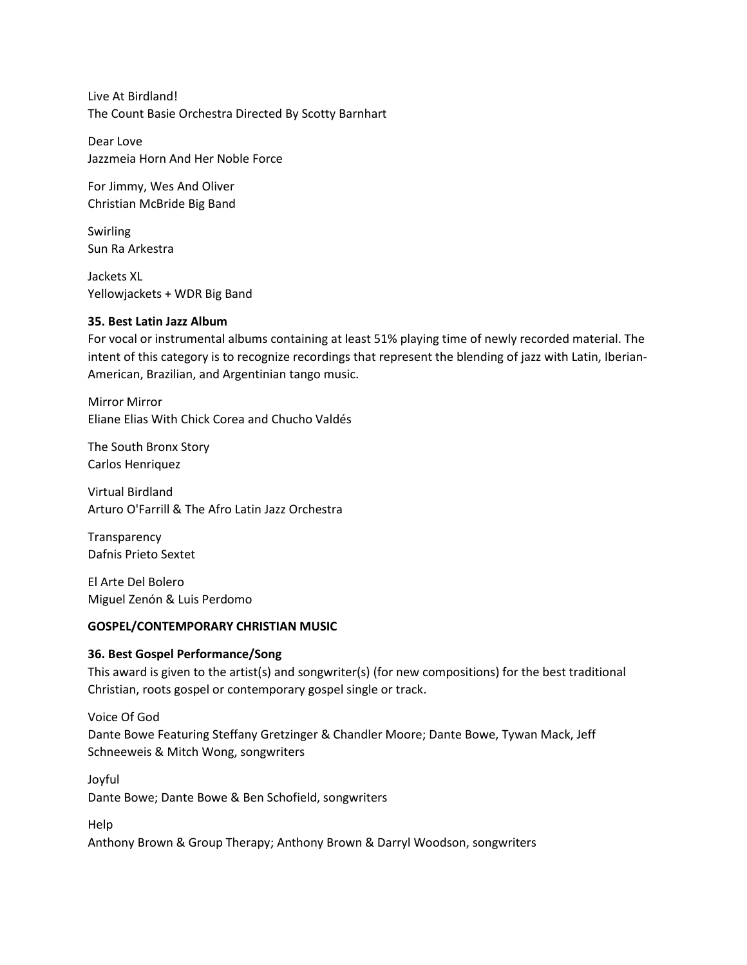Live At Birdland! The Count Basie Orchestra Directed By Scotty Barnhart

Dear Love Jazzmeia Horn And Her Noble Force

For Jimmy, Wes And Oliver Christian McBride Big Band

Swirling Sun Ra Arkestra

Jackets XL Yellowjackets + WDR Big Band

# **35. Best Latin Jazz Album**

For vocal or instrumental albums containing at least 51% playing time of newly recorded material. The intent of this category is to recognize recordings that represent the blending of jazz with Latin, Iberian-American, Brazilian, and Argentinian tango music.

Mirror Mirror Eliane Elias With Chick Corea and Chucho Valdés

The South Bronx Story Carlos Henriquez

Virtual Birdland Arturo O'Farrill & The Afro Latin Jazz Orchestra

**Transparency** Dafnis Prieto Sextet

El Arte Del Bolero Miguel Zenón & Luis Perdomo

## **GOSPEL/CONTEMPORARY CHRISTIAN MUSIC**

## **36. Best Gospel Performance/Song**

This award is given to the artist(s) and songwriter(s) (for new compositions) for the best traditional Christian, roots gospel or contemporary gospel single or track.

Voice Of God Dante Bowe Featuring Steffany Gretzinger & Chandler Moore; Dante Bowe, Tywan Mack, Jeff Schneeweis & Mitch Wong, songwriters

Joyful Dante Bowe; Dante Bowe & Ben Schofield, songwriters

Help

Anthony Brown & Group Therapy; Anthony Brown & Darryl Woodson, songwriters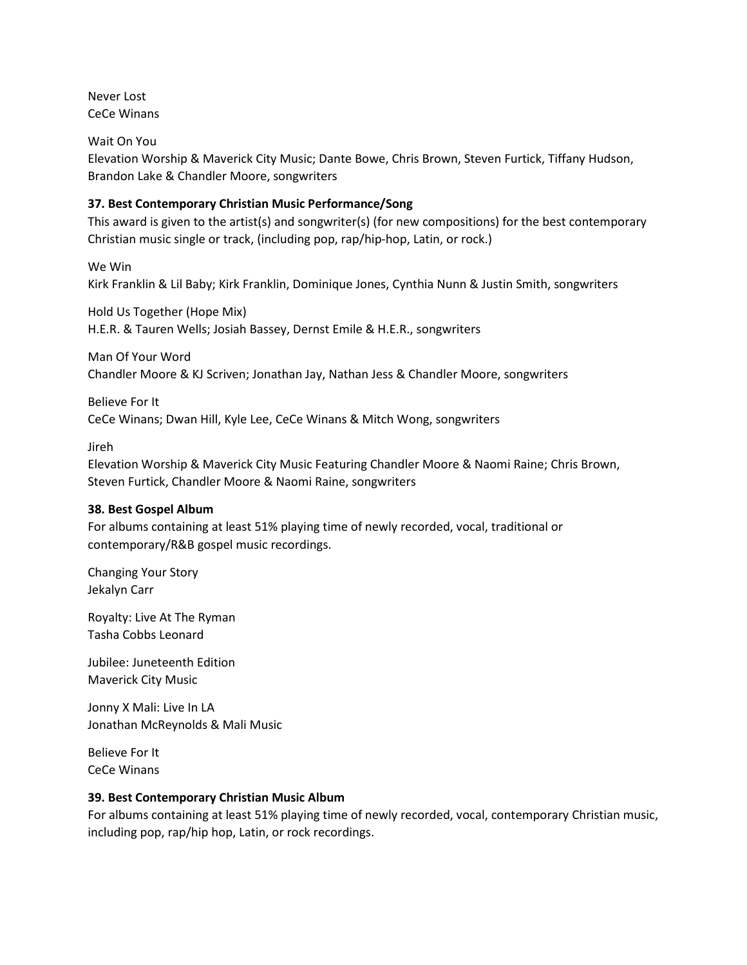Never Lost CeCe Winans

Wait On You

Elevation Worship & Maverick City Music; Dante Bowe, Chris Brown, Steven Furtick, Tiffany Hudson, Brandon Lake & Chandler Moore, songwriters

## **37. Best Contemporary Christian Music Performance/Song**

This award is given to the artist(s) and songwriter(s) (for new compositions) for the best contemporary Christian music single or track, (including pop, rap/hip-hop, Latin, or rock.)

We Win Kirk Franklin & Lil Baby; Kirk Franklin, Dominique Jones, Cynthia Nunn & Justin Smith, songwriters

Hold Us Together (Hope Mix) H.E.R. & Tauren Wells; Josiah Bassey, Dernst Emile & H.E.R., songwriters

Man Of Your Word Chandler Moore & KJ Scriven; Jonathan Jay, Nathan Jess & Chandler Moore, songwriters

Believe For It CeCe Winans; Dwan Hill, Kyle Lee, CeCe Winans & Mitch Wong, songwriters

Jireh

Elevation Worship & Maverick City Music Featuring Chandler Moore & Naomi Raine; Chris Brown, Steven Furtick, Chandler Moore & Naomi Raine, songwriters

## **38. Best Gospel Album**

For albums containing at least 51% playing time of newly recorded, vocal, traditional or contemporary/R&B gospel music recordings.

Changing Your Story Jekalyn Carr

Royalty: Live At The Ryman Tasha Cobbs Leonard

Jubilee: Juneteenth Edition Maverick City Music

Jonny X Mali: Live In LA Jonathan McReynolds & Mali Music

Believe For It CeCe Winans

## **39. Best Contemporary Christian Music Album**

For albums containing at least 51% playing time of newly recorded, vocal, contemporary Christian music, including pop, rap/hip hop, Latin, or rock recordings.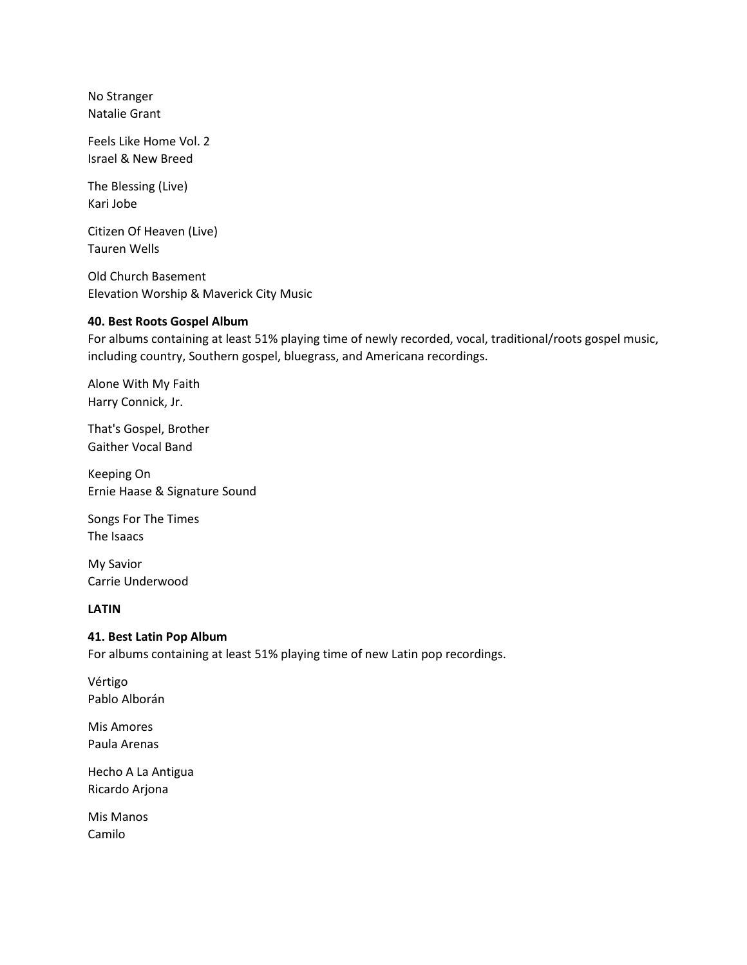No Stranger Natalie Grant

Feels Like Home Vol. 2 Israel & New Breed

The Blessing (Live) Kari Jobe

Citizen Of Heaven (Live) Tauren Wells

Old Church Basement Elevation Worship & Maverick City Music

## **40. Best Roots Gospel Album**

For albums containing at least 51% playing time of newly recorded, vocal, traditional/roots gospel music, including country, Southern gospel, bluegrass, and Americana recordings.

Alone With My Faith Harry Connick, Jr.

That's Gospel, Brother Gaither Vocal Band

Keeping On Ernie Haase & Signature Sound

Songs For The Times The Isaacs

My Savior Carrie Underwood

#### **LATIN**

#### **41. Best Latin Pop Album**

For albums containing at least 51% playing time of new Latin pop recordings.

Vértigo Pablo Alborán

Mis Amores Paula Arenas

Hecho A La Antigua Ricardo Arjona

Mis Manos Camilo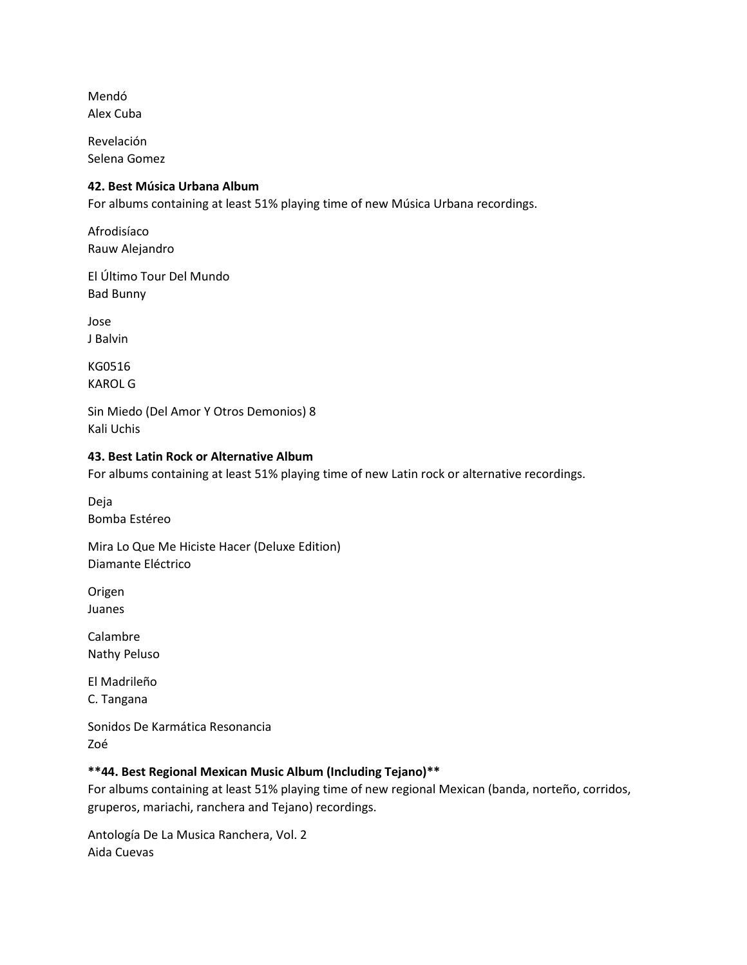Mendó Alex Cuba

Revelación Selena Gomez

#### **42. Best Música Urbana Album**

For albums containing at least 51% playing time of new Música Urbana recordings.

Afrodisíaco Rauw Alejandro

El Último Tour Del Mundo Bad Bunny

Jose J Balvin

KG0516 KAROL G

Sin Miedo (Del Amor Y Otros Demonios) 8 Kali Uchis

## **43. Best Latin Rock or Alternative Album**

For albums containing at least 51% playing time of new Latin rock or alternative recordings.

Deja Bomba Estéreo

Mira Lo Que Me Hiciste Hacer (Deluxe Edition) Diamante Eléctrico

Origen Juanes

Calambre Nathy Peluso

El Madrileño C. Tangana

Sonidos De Karmática Resonancia Zoé

## **\*\*44. Best Regional Mexican Music Album (Including Tejano)\*\***

For albums containing at least 51% playing time of new regional Mexican (banda, norteño, corridos, gruperos, mariachi, ranchera and Tejano) recordings.

Antología De La Musica Ranchera, Vol. 2 Aida Cuevas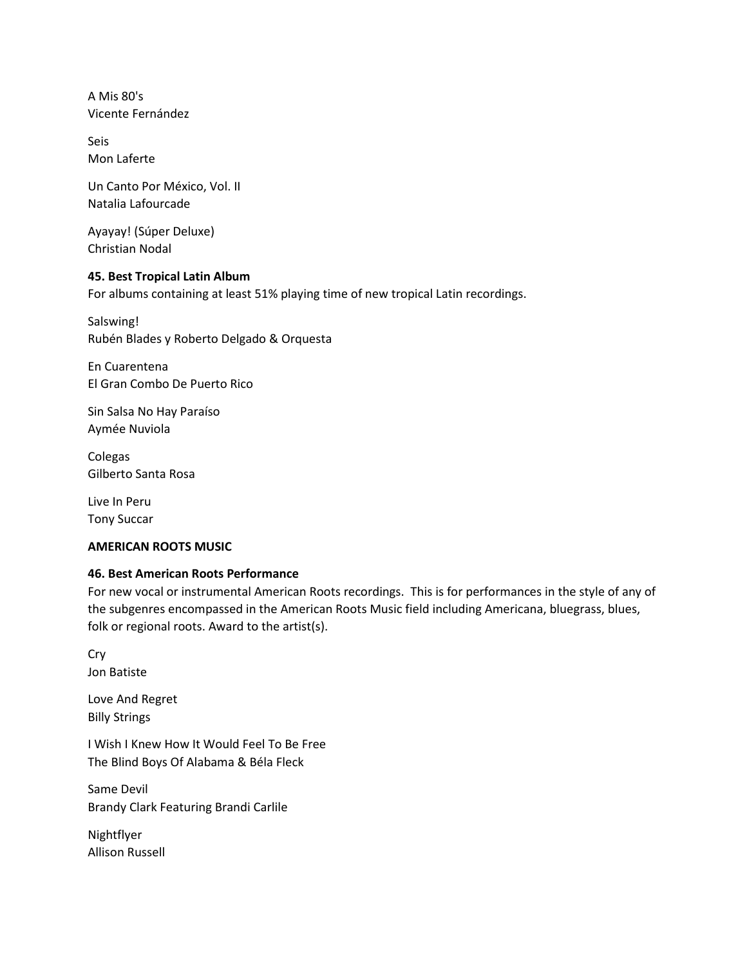A Mis 80's Vicente Fernández

Seis Mon Laferte

Un Canto Por México, Vol. II Natalia Lafourcade

Ayayay! (Súper Deluxe) Christian Nodal

## **45. Best Tropical Latin Album**

For albums containing at least 51% playing time of new tropical Latin recordings.

Salswing! Rubén Blades y Roberto Delgado & Orquesta

En Cuarentena El Gran Combo De Puerto Rico

Sin Salsa No Hay Paraíso Aymée Nuviola

Colegas Gilberto Santa Rosa

Live In Peru Tony Succar

## **AMERICAN ROOTS MUSIC**

## **46. Best American Roots Performance**

For new vocal or instrumental American Roots recordings. This is for performances in the style of any of the subgenres encompassed in the American Roots Music field including Americana, bluegrass, blues, folk or regional roots. Award to the artist(s).

Cry Jon Batiste

Love And Regret Billy Strings

I Wish I Knew How It Would Feel To Be Free The Blind Boys Of Alabama & Béla Fleck

Same Devil Brandy Clark Featuring Brandi Carlile

Nightflyer Allison Russell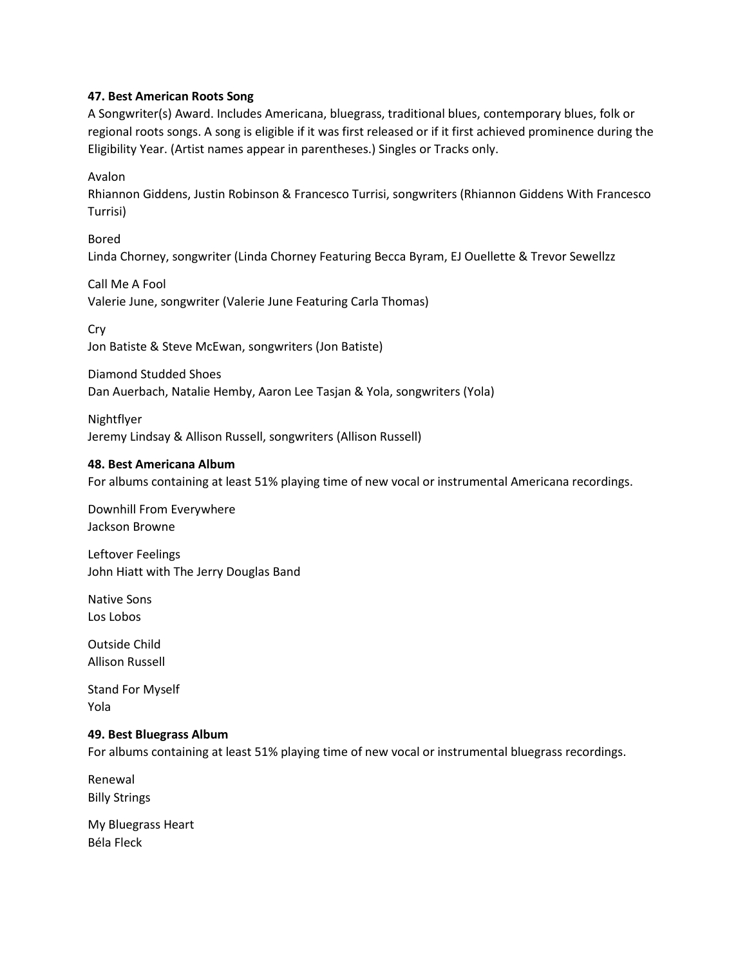## **47. Best American Roots Song**

A Songwriter(s) Award. Includes Americana, bluegrass, traditional blues, contemporary blues, folk or regional roots songs. A song is eligible if it was first released or if it first achieved prominence during the Eligibility Year. (Artist names appear in parentheses.) Singles or Tracks only.

Avalon

Rhiannon Giddens, Justin Robinson & Francesco Turrisi, songwriters (Rhiannon Giddens With Francesco Turrisi)

Bored Linda Chorney, songwriter (Linda Chorney Featuring Becca Byram, EJ Ouellette & Trevor Sewellzz

Call Me A Fool Valerie June, songwriter (Valerie June Featuring Carla Thomas)

Cry Jon Batiste & Steve McEwan, songwriters (Jon Batiste)

Diamond Studded Shoes

Dan Auerbach, Natalie Hemby, Aaron Lee Tasjan & Yola, songwriters (Yola)

Nightflyer Jeremy Lindsay & Allison Russell, songwriters (Allison Russell)

#### **48. Best Americana Album**

For albums containing at least 51% playing time of new vocal or instrumental Americana recordings.

Downhill From Everywhere Jackson Browne

Leftover Feelings John Hiatt with The Jerry Douglas Band

Native Sons Los Lobos

Outside Child Allison Russell

Stand For Myself Yola

#### **49. Best Bluegrass Album**

For albums containing at least 51% playing time of new vocal or instrumental bluegrass recordings.

Renewal Billy Strings

My Bluegrass Heart Béla Fleck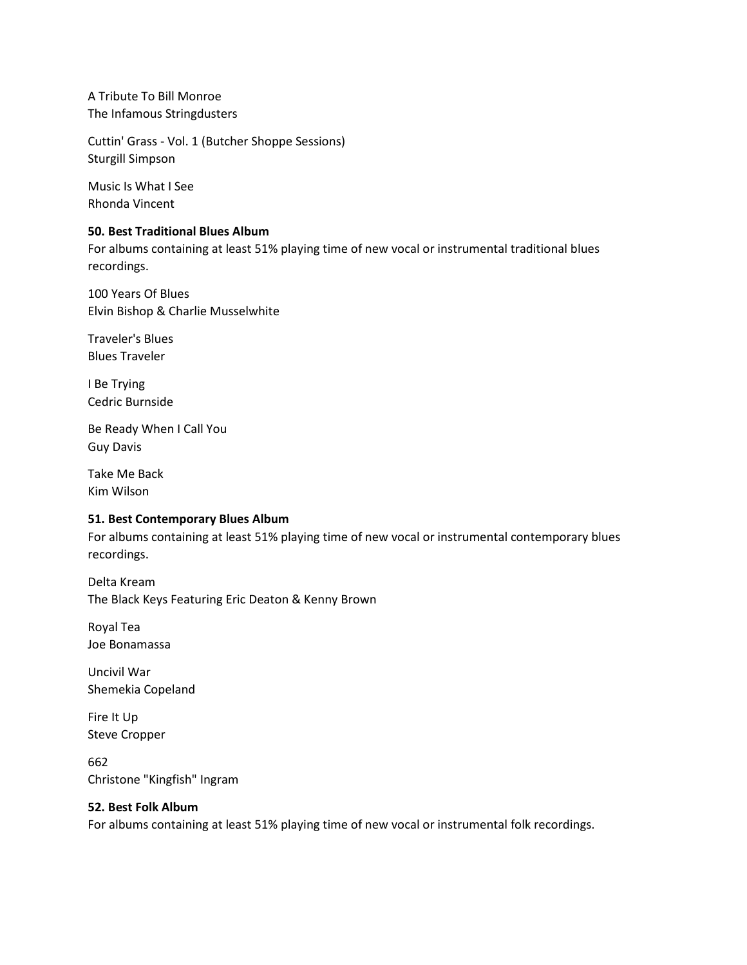A Tribute To Bill Monroe The Infamous Stringdusters

Cuttin' Grass - Vol. 1 (Butcher Shoppe Sessions) Sturgill Simpson

Music Is What I See Rhonda Vincent

## **50. Best Traditional Blues Album**

For albums containing at least 51% playing time of new vocal or instrumental traditional blues recordings.

100 Years Of Blues Elvin Bishop & Charlie Musselwhite

Traveler's Blues Blues Traveler

I Be Trying Cedric Burnside

Be Ready When I Call You Guy Davis

Take Me Back Kim Wilson

## **51. Best Contemporary Blues Album**

For albums containing at least 51% playing time of new vocal or instrumental contemporary blues recordings.

Delta Kream The Black Keys Featuring Eric Deaton & Kenny Brown

Royal Tea Joe Bonamassa

Uncivil War Shemekia Copeland

Fire It Up Steve Cropper

662 Christone "Kingfish" Ingram

## **52. Best Folk Album**

For albums containing at least 51% playing time of new vocal or instrumental folk recordings.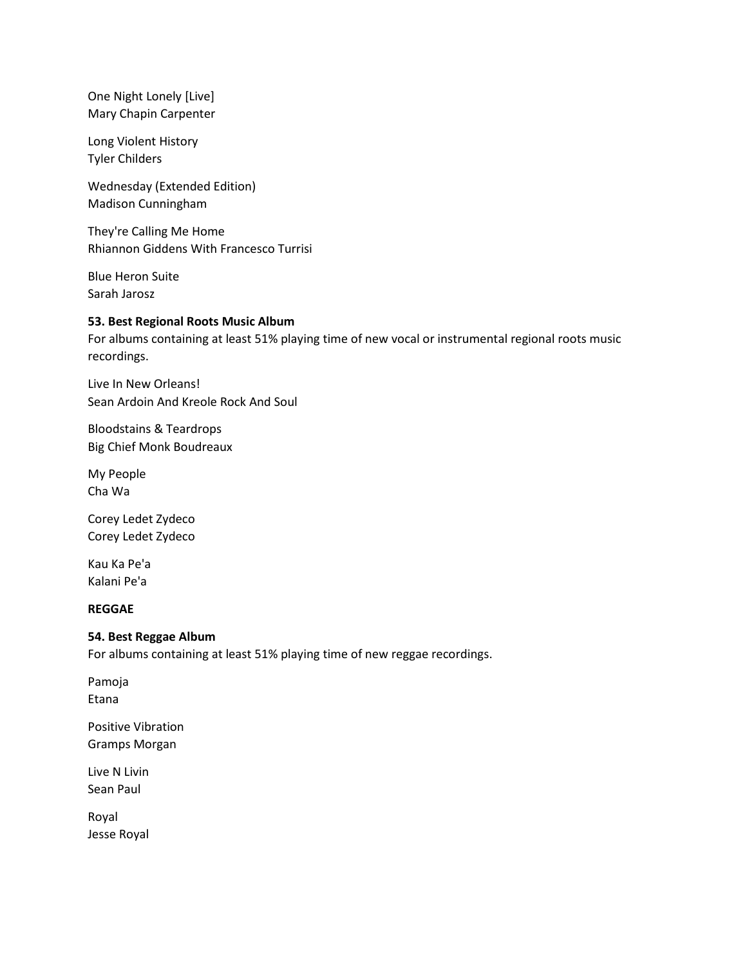One Night Lonely [Live] Mary Chapin Carpenter

Long Violent History Tyler Childers

Wednesday (Extended Edition) Madison Cunningham

They're Calling Me Home Rhiannon Giddens With Francesco Turrisi

Blue Heron Suite Sarah Jarosz

## **53. Best Regional Roots Music Album**

For albums containing at least 51% playing time of new vocal or instrumental regional roots music recordings.

Live In New Orleans! Sean Ardoin And Kreole Rock And Soul

Bloodstains & Teardrops Big Chief Monk Boudreaux

My People Cha Wa

Corey Ledet Zydeco Corey Ledet Zydeco

Kau Ka Pe'a Kalani Pe'a

#### **REGGAE**

#### **54. Best Reggae Album**

For albums containing at least 51% playing time of new reggae recordings.

Pamoja Etana

Positive Vibration Gramps Morgan

Live N Livin Sean Paul

Royal Jesse Royal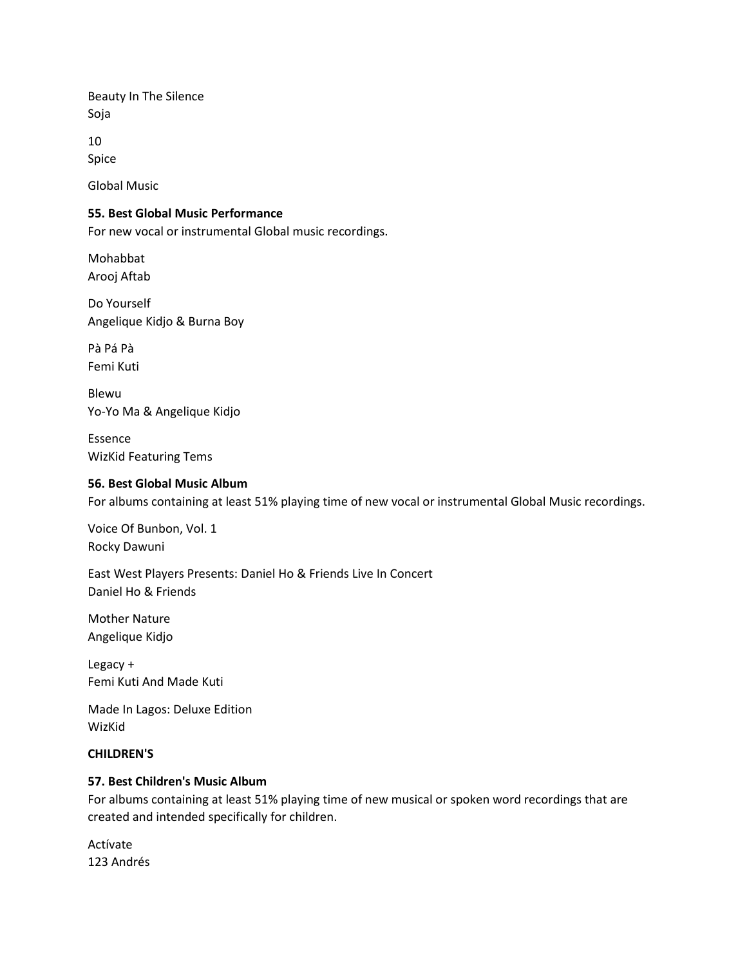Beauty In The Silence Soja

10 Spice

Global Music

## **55. Best Global Music Performance**

For new vocal or instrumental Global music recordings.

Mohabbat Arooj Aftab

Do Yourself Angelique Kidjo & Burna Boy

Pà Pá Pà Femi Kuti

Blewu Yo-Yo Ma & Angelique Kidjo

Essence WizKid Featuring Tems

#### **56. Best Global Music Album**

For albums containing at least 51% playing time of new vocal or instrumental Global Music recordings.

Voice Of Bunbon, Vol. 1 Rocky Dawuni

East West Players Presents: Daniel Ho & Friends Live In Concert Daniel Ho & Friends

Mother Nature Angelique Kidjo

Legacy + Femi Kuti And Made Kuti

Made In Lagos: Deluxe Edition WizKid

#### **CHILDREN'S**

#### **57. Best Children's Music Album**

For albums containing at least 51% playing time of new musical or spoken word recordings that are created and intended specifically for children.

Actívate 123 Andrés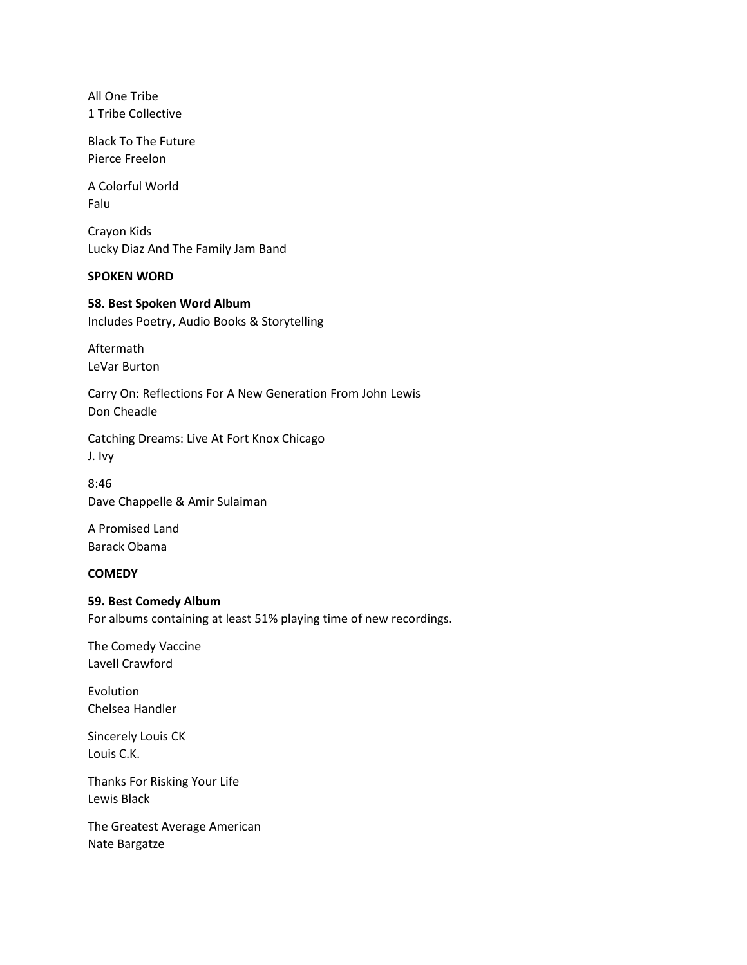All One Tribe 1 Tribe Collective

Black To The Future Pierce Freelon

A Colorful World Falu

Crayon Kids Lucky Diaz And The Family Jam Band

#### **SPOKEN WORD**

**58. Best Spoken Word Album** Includes Poetry, Audio Books & Storytelling

Aftermath LeVar Burton

Carry On: Reflections For A New Generation From John Lewis Don Cheadle

Catching Dreams: Live At Fort Knox Chicago J. Ivy

8:46 Dave Chappelle & Amir Sulaiman

A Promised Land Barack Obama

#### **COMEDY**

#### **59. Best Comedy Album**

For albums containing at least 51% playing time of new recordings.

The Comedy Vaccine Lavell Crawford

Evolution Chelsea Handler

Sincerely Louis CK Louis C.K.

Thanks For Risking Your Life Lewis Black

The Greatest Average American Nate Bargatze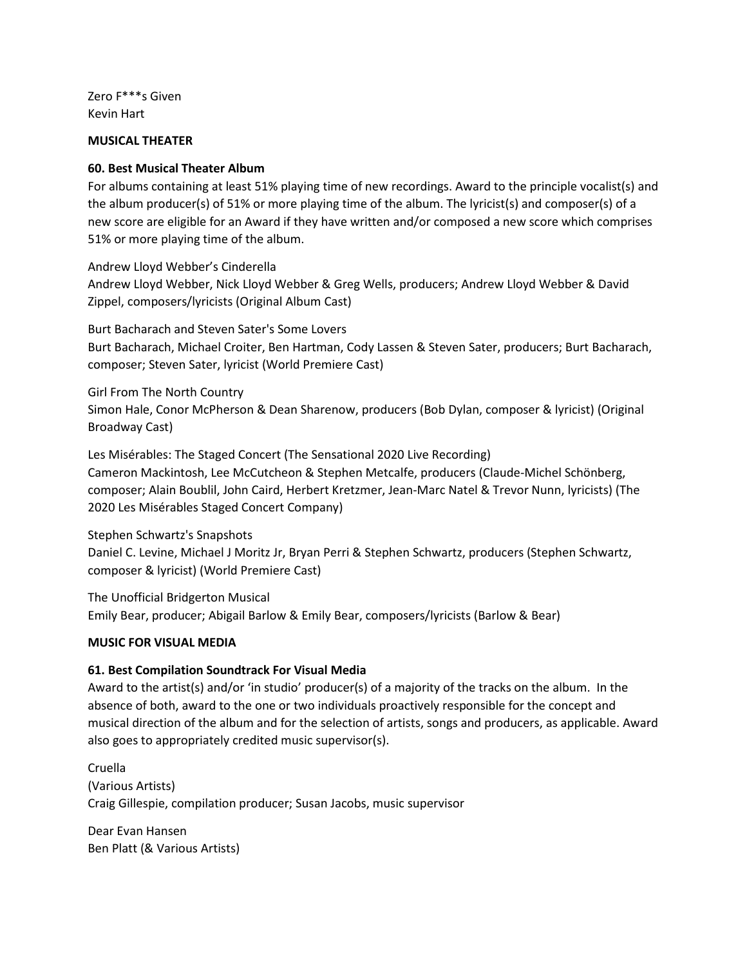Zero F\*\*\*s Given Kevin Hart

#### **MUSICAL THEATER**

## **60. Best Musical Theater Album**

For albums containing at least 51% playing time of new recordings. Award to the principle vocalist(s) and the album producer(s) of 51% or more playing time of the album. The lyricist(s) and composer(s) of a new score are eligible for an Award if they have written and/or composed a new score which comprises 51% or more playing time of the album.

Andrew Lloyd Webber's Cinderella

Andrew Lloyd Webber, Nick Lloyd Webber & Greg Wells, producers; Andrew Lloyd Webber & David Zippel, composers/lyricists (Original Album Cast)

Burt Bacharach and Steven Sater's Some Lovers Burt Bacharach, Michael Croiter, Ben Hartman, Cody Lassen & Steven Sater, producers; Burt Bacharach, composer; Steven Sater, lyricist (World Premiere Cast)

Girl From The North Country

Simon Hale, Conor McPherson & Dean Sharenow, producers (Bob Dylan, composer & lyricist) (Original Broadway Cast)

Les Misérables: The Staged Concert (The Sensational 2020 Live Recording) Cameron Mackintosh, Lee McCutcheon & Stephen Metcalfe, producers (Claude-Michel Schönberg, composer; Alain Boublil, John Caird, Herbert Kretzmer, Jean-Marc Natel & Trevor Nunn, lyricists) (The 2020 Les Misérables Staged Concert Company)

Stephen Schwartz's Snapshots

Daniel C. Levine, Michael J Moritz Jr, Bryan Perri & Stephen Schwartz, producers (Stephen Schwartz, composer & lyricist) (World Premiere Cast)

The Unofficial Bridgerton Musical

Emily Bear, producer; Abigail Barlow & Emily Bear, composers/lyricists (Barlow & Bear)

## **MUSIC FOR VISUAL MEDIA**

## **61. Best Compilation Soundtrack For Visual Media**

Award to the artist(s) and/or 'in studio' producer(s) of a majority of the tracks on the album. In the absence of both, award to the one or two individuals proactively responsible for the concept and musical direction of the album and for the selection of artists, songs and producers, as applicable. Award also goes to appropriately credited music supervisor(s).

Cruella (Various Artists) Craig Gillespie, compilation producer; Susan Jacobs, music supervisor

Dear Evan Hansen Ben Platt (& Various Artists)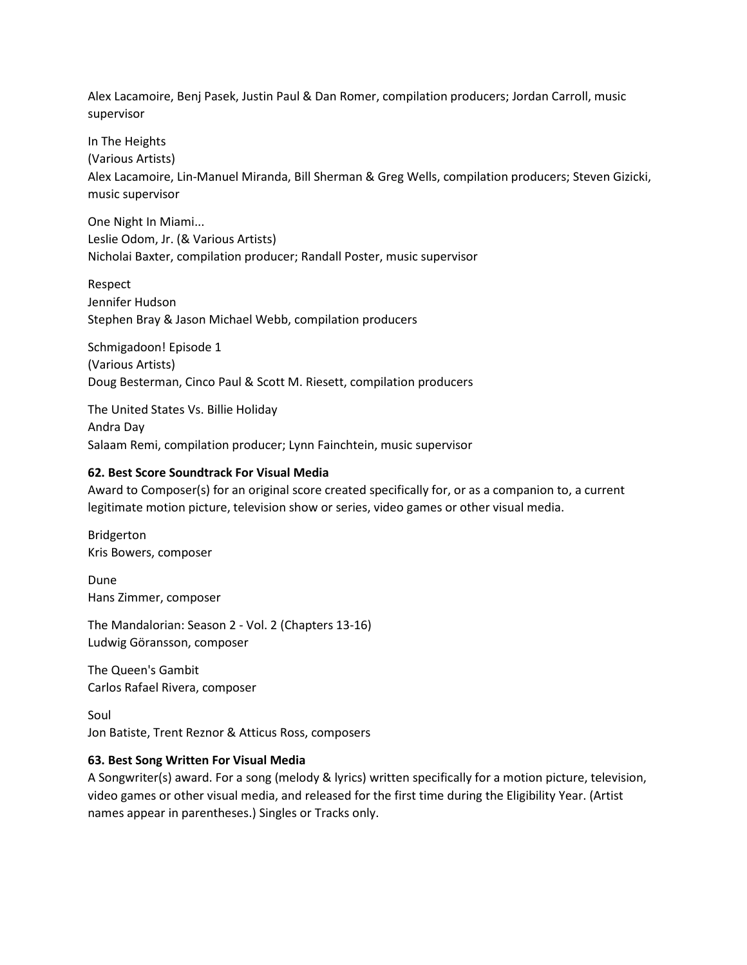Alex Lacamoire, Benj Pasek, Justin Paul & Dan Romer, compilation producers; Jordan Carroll, music supervisor

In The Heights (Various Artists) Alex Lacamoire, Lin-Manuel Miranda, Bill Sherman & Greg Wells, compilation producers; Steven Gizicki, music supervisor

One Night In Miami... Leslie Odom, Jr. (& Various Artists) Nicholai Baxter, compilation producer; Randall Poster, music supervisor

Respect Jennifer Hudson Stephen Bray & Jason Michael Webb, compilation producers

Schmigadoon! Episode 1 (Various Artists) Doug Besterman, Cinco Paul & Scott M. Riesett, compilation producers

The United States Vs. Billie Holiday Andra Day Salaam Remi, compilation producer; Lynn Fainchtein, music supervisor

## **62. Best Score Soundtrack For Visual Media**

Award to Composer(s) for an original score created specifically for, or as a companion to, a current legitimate motion picture, television show or series, video games or other visual media.

Bridgerton Kris Bowers, composer

Dune Hans Zimmer, composer

The Mandalorian: Season 2 - Vol. 2 (Chapters 13-16) Ludwig Göransson, composer

The Queen's Gambit Carlos Rafael Rivera, composer

Soul Jon Batiste, Trent Reznor & Atticus Ross, composers

## **63. Best Song Written For Visual Media**

A Songwriter(s) award. For a song (melody & lyrics) written specifically for a motion picture, television, video games or other visual media, and released for the first time during the Eligibility Year. (Artist names appear in parentheses.) Singles or Tracks only.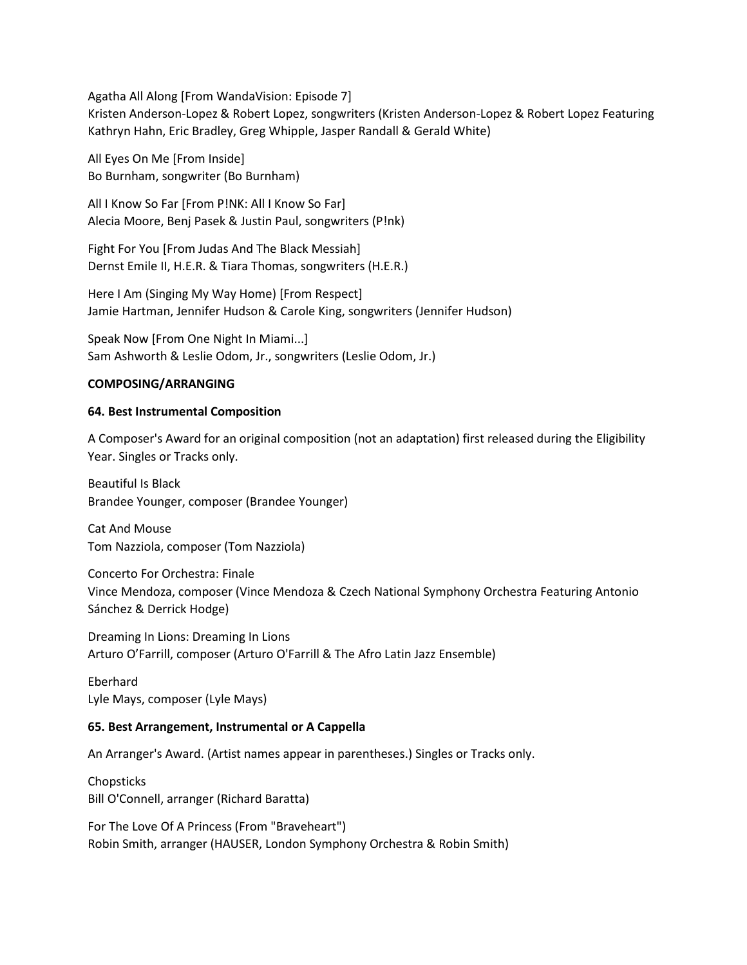Agatha All Along [From WandaVision: Episode 7]

Kristen Anderson-Lopez & Robert Lopez, songwriters (Kristen Anderson-Lopez & Robert Lopez Featuring Kathryn Hahn, Eric Bradley, Greg Whipple, Jasper Randall & Gerald White)

All Eyes On Me [From Inside] Bo Burnham, songwriter (Bo Burnham)

All I Know So Far [From P!NK: All I Know So Far] Alecia Moore, Benj Pasek & Justin Paul, songwriters (P!nk)

Fight For You [From Judas And The Black Messiah] Dernst Emile II, H.E.R. & Tiara Thomas, songwriters (H.E.R.)

Here I Am (Singing My Way Home) [From Respect] Jamie Hartman, Jennifer Hudson & Carole King, songwriters (Jennifer Hudson)

Speak Now [From One Night In Miami...] Sam Ashworth & Leslie Odom, Jr., songwriters (Leslie Odom, Jr.)

## **COMPOSING/ARRANGING**

## **64. Best Instrumental Composition**

A Composer's Award for an original composition (not an adaptation) first released during the Eligibility Year. Singles or Tracks only.

Beautiful Is Black Brandee Younger, composer (Brandee Younger)

Cat And Mouse Tom Nazziola, composer (Tom Nazziola)

Concerto For Orchestra: Finale Vince Mendoza, composer (Vince Mendoza & Czech National Symphony Orchestra Featuring Antonio Sánchez & Derrick Hodge)

Dreaming In Lions: Dreaming In Lions Arturo O'Farrill, composer (Arturo O'Farrill & The Afro Latin Jazz Ensemble)

Eberhard Lyle Mays, composer (Lyle Mays)

# **65. Best Arrangement, Instrumental or A Cappella**

An Arranger's Award. (Artist names appear in parentheses.) Singles or Tracks only.

Chopsticks Bill O'Connell, arranger (Richard Baratta)

For The Love Of A Princess (From "Braveheart") Robin Smith, arranger (HAUSER, London Symphony Orchestra & Robin Smith)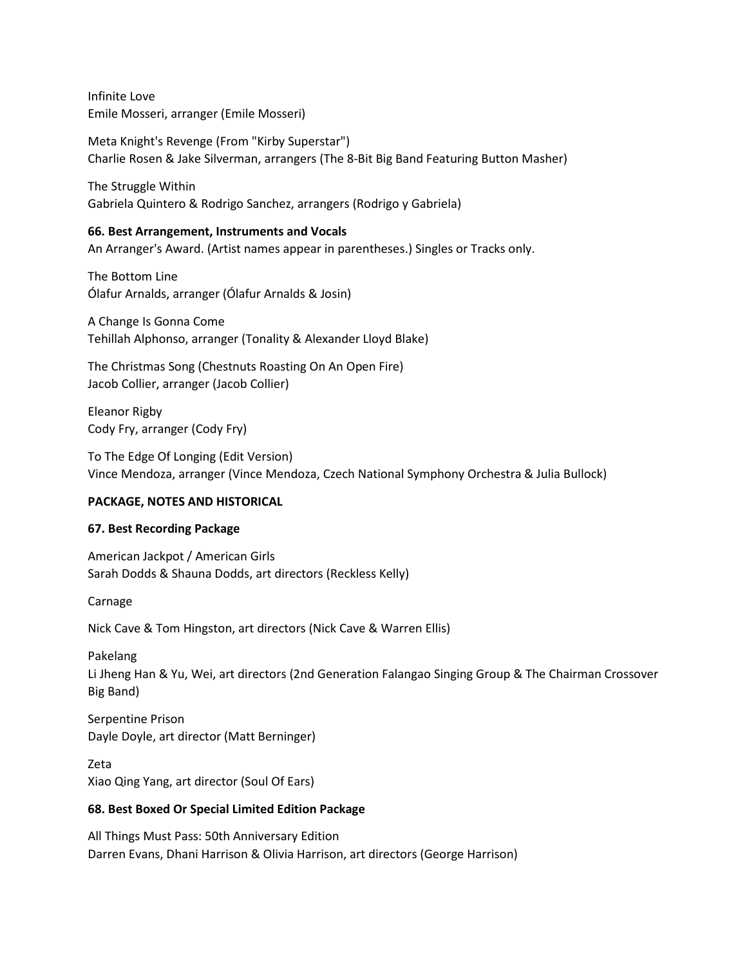Infinite Love Emile Mosseri, arranger (Emile Mosseri)

Meta Knight's Revenge (From "Kirby Superstar") Charlie Rosen & Jake Silverman, arrangers (The 8-Bit Big Band Featuring Button Masher)

The Struggle Within Gabriela Quintero & Rodrigo Sanchez, arrangers (Rodrigo y Gabriela)

## **66. Best Arrangement, Instruments and Vocals**

An Arranger's Award. (Artist names appear in parentheses.) Singles or Tracks only.

The Bottom Line Ólafur Arnalds, arranger (Ólafur Arnalds & Josin)

A Change Is Gonna Come Tehillah Alphonso, arranger (Tonality & Alexander Lloyd Blake)

The Christmas Song (Chestnuts Roasting On An Open Fire) Jacob Collier, arranger (Jacob Collier)

Eleanor Rigby Cody Fry, arranger (Cody Fry)

To The Edge Of Longing (Edit Version) Vince Mendoza, arranger (Vince Mendoza, Czech National Symphony Orchestra & Julia Bullock)

## **PACKAGE, NOTES AND HISTORICAL**

#### **67. Best Recording Package**

American Jackpot / American Girls Sarah Dodds & Shauna Dodds, art directors (Reckless Kelly)

Carnage

Nick Cave & Tom Hingston, art directors (Nick Cave & Warren Ellis)

Pakelang

Li Jheng Han & Yu, Wei, art directors (2nd Generation Falangao Singing Group & The Chairman Crossover Big Band)

Serpentine Prison Dayle Doyle, art director (Matt Berninger)

Zeta Xiao Qing Yang, art director (Soul Of Ears)

#### **68. Best Boxed Or Special Limited Edition Package**

All Things Must Pass: 50th Anniversary Edition Darren Evans, Dhani Harrison & Olivia Harrison, art directors (George Harrison)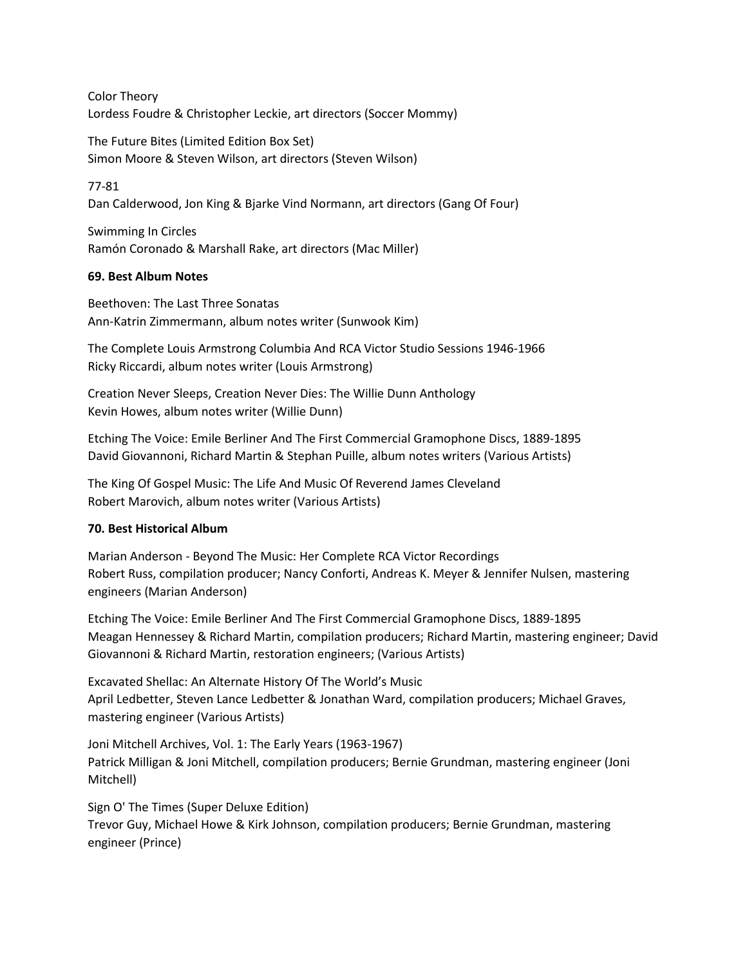Color Theory Lordess Foudre & Christopher Leckie, art directors (Soccer Mommy)

The Future Bites (Limited Edition Box Set) Simon Moore & Steven Wilson, art directors (Steven Wilson)

77-81 Dan Calderwood, Jon King & Bjarke Vind Normann, art directors (Gang Of Four)

Swimming In Circles Ramón Coronado & Marshall Rake, art directors (Mac Miller)

# **69. Best Album Notes**

Beethoven: The Last Three Sonatas Ann-Katrin Zimmermann, album notes writer (Sunwook Kim)

The Complete Louis Armstrong Columbia And RCA Victor Studio Sessions 1946-1966 Ricky Riccardi, album notes writer (Louis Armstrong)

Creation Never Sleeps, Creation Never Dies: The Willie Dunn Anthology Kevin Howes, album notes writer (Willie Dunn)

Etching The Voice: Emile Berliner And The First Commercial Gramophone Discs, 1889-1895 David Giovannoni, Richard Martin & Stephan Puille, album notes writers (Various Artists)

The King Of Gospel Music: The Life And Music Of Reverend James Cleveland Robert Marovich, album notes writer (Various Artists)

# **70. Best Historical Album**

Marian Anderson - Beyond The Music: Her Complete RCA Victor Recordings Robert Russ, compilation producer; Nancy Conforti, Andreas K. Meyer & Jennifer Nulsen, mastering engineers (Marian Anderson)

Etching The Voice: Emile Berliner And The First Commercial Gramophone Discs, 1889-1895 Meagan Hennessey & Richard Martin, compilation producers; Richard Martin, mastering engineer; David Giovannoni & Richard Martin, restoration engineers; (Various Artists)

Excavated Shellac: An Alternate History Of The World's Music April Ledbetter, Steven Lance Ledbetter & Jonathan Ward, compilation producers; Michael Graves, mastering engineer (Various Artists)

Joni Mitchell Archives, Vol. 1: The Early Years (1963-1967) Patrick Milligan & Joni Mitchell, compilation producers; Bernie Grundman, mastering engineer (Joni Mitchell)

Sign O' The Times (Super Deluxe Edition) Trevor Guy, Michael Howe & Kirk Johnson, compilation producers; Bernie Grundman, mastering engineer (Prince)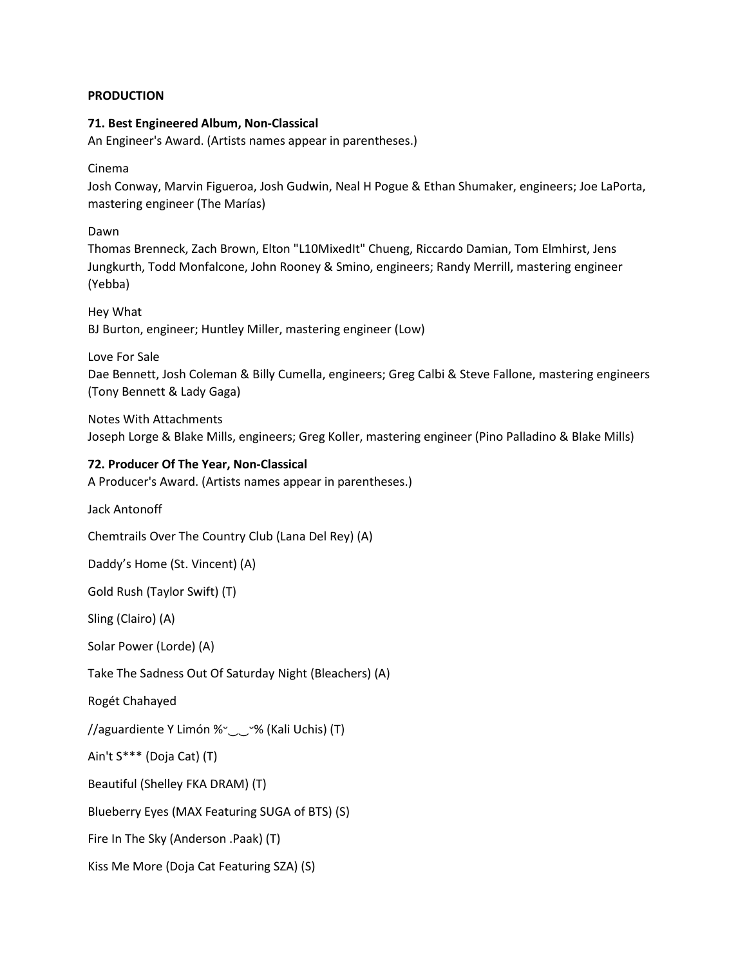## **PRODUCTION**

#### **71. Best Engineered Album, Non-Classical**

An Engineer's Award. (Artists names appear in parentheses.)

Cinema

Josh Conway, Marvin Figueroa, Josh Gudwin, Neal H Pogue & Ethan Shumaker, engineers; Joe LaPorta, mastering engineer (The Marías)

Dawn

Thomas Brenneck, Zach Brown, Elton "L10MixedIt" Chueng, Riccardo Damian, Tom Elmhirst, Jens Jungkurth, Todd Monfalcone, John Rooney & Smino, engineers; Randy Merrill, mastering engineer (Yebba)

Hey What BJ Burton, engineer; Huntley Miller, mastering engineer (Low)

Love For Sale

Dae Bennett, Josh Coleman & Billy Cumella, engineers; Greg Calbi & Steve Fallone, mastering engineers (Tony Bennett & Lady Gaga)

Notes With Attachments Joseph Lorge & Blake Mills, engineers; Greg Koller, mastering engineer (Pino Palladino & Blake Mills)

## **72. Producer Of The Year, Non-Classical**

A Producer's Award. (Artists names appear in parentheses.)

Jack Antonoff

Chemtrails Over The Country Club (Lana Del Rey) (A)

Daddy's Home (St. Vincent) (A)

Gold Rush (Taylor Swift) (T)

Sling (Clairo) (A)

Solar Power (Lorde) (A)

Take The Sadness Out Of Saturday Night (Bleachers) (A)

Rogét Chahayed

//aguardiente Y Limón %ᵕ‿‿ᵕ% (Kali Uchis) (T)

Ain't S\*\*\* (Doja Cat) (T)

Beautiful (Shelley FKA DRAM) (T)

Blueberry Eyes (MAX Featuring SUGA of BTS) (S)

Fire In The Sky (Anderson .Paak) (T)

Kiss Me More (Doja Cat Featuring SZA) (S)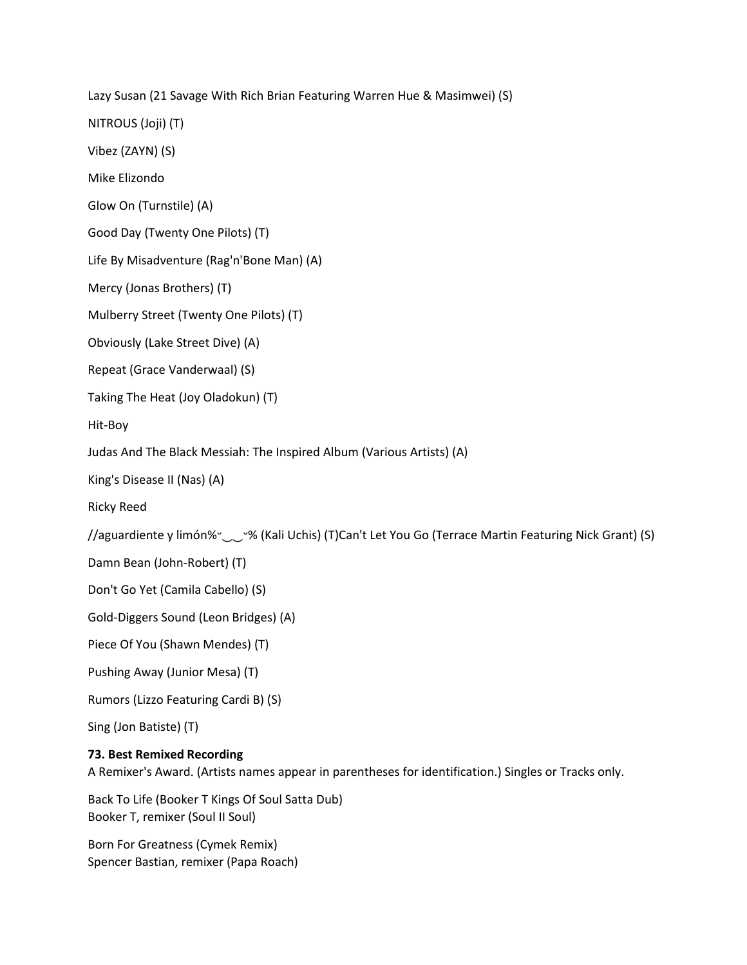Lazy Susan (21 Savage With Rich Brian Featuring Warren Hue & Masimwei) (S)

NITROUS (Joji) (T)

Vibez (ZAYN) (S)

Mike Elizondo

Glow On (Turnstile) (A)

Good Day (Twenty One Pilots) (T)

Life By Misadventure (Rag'n'Bone Man) (A)

Mercy (Jonas Brothers) (T)

Mulberry Street (Twenty One Pilots) (T)

Obviously (Lake Street Dive) (A)

Repeat (Grace Vanderwaal) (S)

Taking The Heat (Joy Oladokun) (T)

Hit-Boy

Judas And The Black Messiah: The Inspired Album (Various Artists) (A)

King's Disease II (Nas) (A)

Ricky Reed

//aguardiente y limón%ᵕ‿‿ᵕ% (Kali Uchis) (T)Can't Let You Go (Terrace Martin Featuring Nick Grant) (S)

Damn Bean (John-Robert) (T)

Don't Go Yet (Camila Cabello) (S)

Gold-Diggers Sound (Leon Bridges) (A)

Piece Of You (Shawn Mendes) (T)

Pushing Away (Junior Mesa) (T)

Rumors (Lizzo Featuring Cardi B) (S)

Sing (Jon Batiste) (T)

## **73. Best Remixed Recording**

A Remixer's Award. (Artists names appear in parentheses for identification.) Singles or Tracks only.

Back To Life (Booker T Kings Of Soul Satta Dub) Booker T, remixer (Soul II Soul)

Born For Greatness (Cymek Remix) Spencer Bastian, remixer (Papa Roach)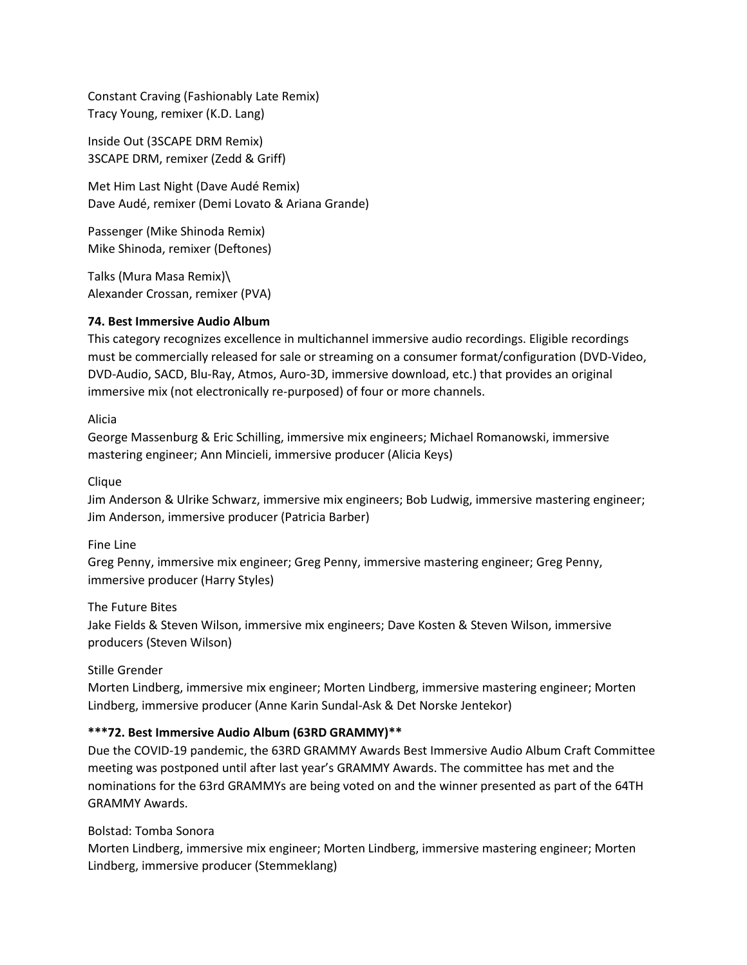Constant Craving (Fashionably Late Remix) Tracy Young, remixer (K.D. Lang)

Inside Out (3SCAPE DRM Remix) 3SCAPE DRM, remixer (Zedd & Griff)

Met Him Last Night (Dave Audé Remix) Dave Audé, remixer (Demi Lovato & Ariana Grande)

Passenger (Mike Shinoda Remix) Mike Shinoda, remixer (Deftones)

Talks (Mura Masa Remix)\ Alexander Crossan, remixer (PVA)

# **74. Best Immersive Audio Album**

This category recognizes excellence in multichannel immersive audio recordings. Eligible recordings must be commercially released for sale or streaming on a consumer format/configuration (DVD-Video, DVD-Audio, SACD, Blu-Ray, Atmos, Auro-3D, immersive download, etc.) that provides an original immersive mix (not electronically re-purposed) of four or more channels.

# Alicia

George Massenburg & Eric Schilling, immersive mix engineers; Michael Romanowski, immersive mastering engineer; Ann Mincieli, immersive producer (Alicia Keys)

Clique

Jim Anderson & Ulrike Schwarz, immersive mix engineers; Bob Ludwig, immersive mastering engineer; Jim Anderson, immersive producer (Patricia Barber)

# Fine Line

Greg Penny, immersive mix engineer; Greg Penny, immersive mastering engineer; Greg Penny, immersive producer (Harry Styles)

# The Future Bites

Jake Fields & Steven Wilson, immersive mix engineers; Dave Kosten & Steven Wilson, immersive producers (Steven Wilson)

# Stille Grender

Morten Lindberg, immersive mix engineer; Morten Lindberg, immersive mastering engineer; Morten Lindberg, immersive producer (Anne Karin Sundal-Ask & Det Norske Jentekor)

# **\*\*\*72. Best Immersive Audio Album (63RD GRAMMY)\*\***

Due the COVID-19 pandemic, the 63RD GRAMMY Awards Best Immersive Audio Album Craft Committee meeting was postponed until after last year's GRAMMY Awards. The committee has met and the nominations for the 63rd GRAMMYs are being voted on and the winner presented as part of the 64TH GRAMMY Awards.

## Bolstad: Tomba Sonora

Morten Lindberg, immersive mix engineer; Morten Lindberg, immersive mastering engineer; Morten Lindberg, immersive producer (Stemmeklang)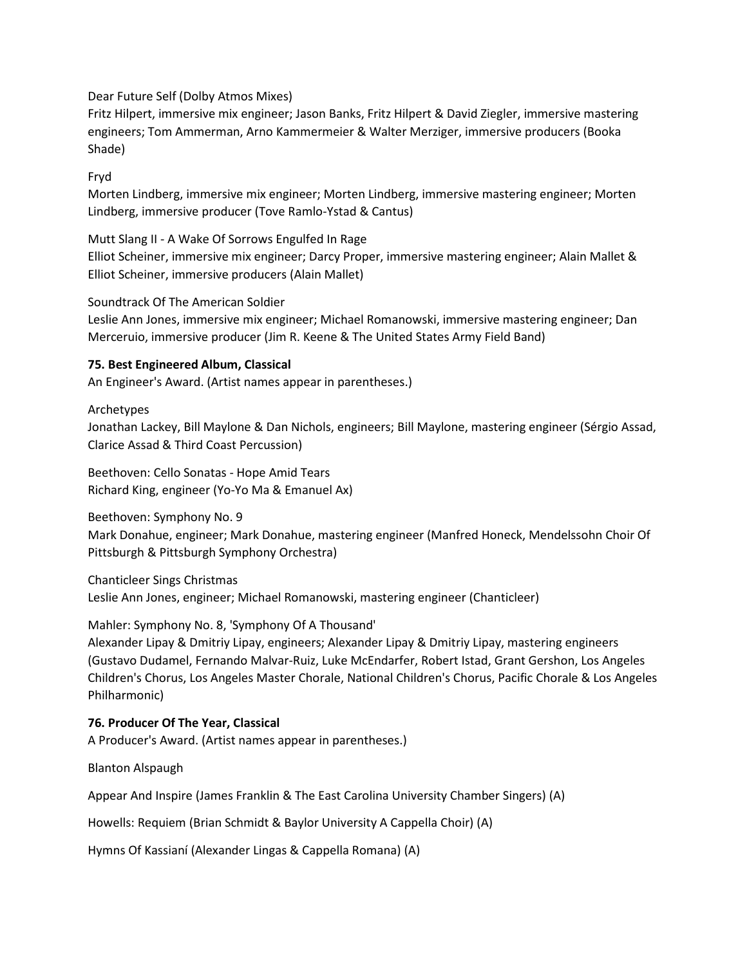Dear Future Self (Dolby Atmos Mixes)

Fritz Hilpert, immersive mix engineer; Jason Banks, Fritz Hilpert & David Ziegler, immersive mastering engineers; Tom Ammerman, Arno Kammermeier & Walter Merziger, immersive producers (Booka Shade)

Fryd

Morten Lindberg, immersive mix engineer; Morten Lindberg, immersive mastering engineer; Morten Lindberg, immersive producer (Tove Ramlo-Ystad & Cantus)

Mutt Slang II - A Wake Of Sorrows Engulfed In Rage Elliot Scheiner, immersive mix engineer; Darcy Proper, immersive mastering engineer; Alain Mallet & Elliot Scheiner, immersive producers (Alain Mallet)

Soundtrack Of The American Soldier

Leslie Ann Jones, immersive mix engineer; Michael Romanowski, immersive mastering engineer; Dan Merceruio, immersive producer (Jim R. Keene & The United States Army Field Band)

## **75. Best Engineered Album, Classical**

An Engineer's Award. (Artist names appear in parentheses.)

## Archetypes

Jonathan Lackey, Bill Maylone & Dan Nichols, engineers; Bill Maylone, mastering engineer (Sérgio Assad, Clarice Assad & Third Coast Percussion)

Beethoven: Cello Sonatas - Hope Amid Tears Richard King, engineer (Yo-Yo Ma & Emanuel Ax)

Beethoven: Symphony No. 9

Mark Donahue, engineer; Mark Donahue, mastering engineer (Manfred Honeck, Mendelssohn Choir Of Pittsburgh & Pittsburgh Symphony Orchestra)

Chanticleer Sings Christmas Leslie Ann Jones, engineer; Michael Romanowski, mastering engineer (Chanticleer)

Mahler: Symphony No. 8, 'Symphony Of A Thousand'

Alexander Lipay & Dmitriy Lipay, engineers; Alexander Lipay & Dmitriy Lipay, mastering engineers (Gustavo Dudamel, Fernando Malvar-Ruiz, Luke McEndarfer, Robert Istad, Grant Gershon, Los Angeles Children's Chorus, Los Angeles Master Chorale, National Children's Chorus, Pacific Chorale & Los Angeles Philharmonic)

# **76. Producer Of The Year, Classical**

A Producer's Award. (Artist names appear in parentheses.)

Blanton Alspaugh

Appear And Inspire (James Franklin & The East Carolina University Chamber Singers) (A)

Howells: Requiem (Brian Schmidt & Baylor University A Cappella Choir) (A)

Hymns Of Kassianí (Alexander Lingas & Cappella Romana) (A)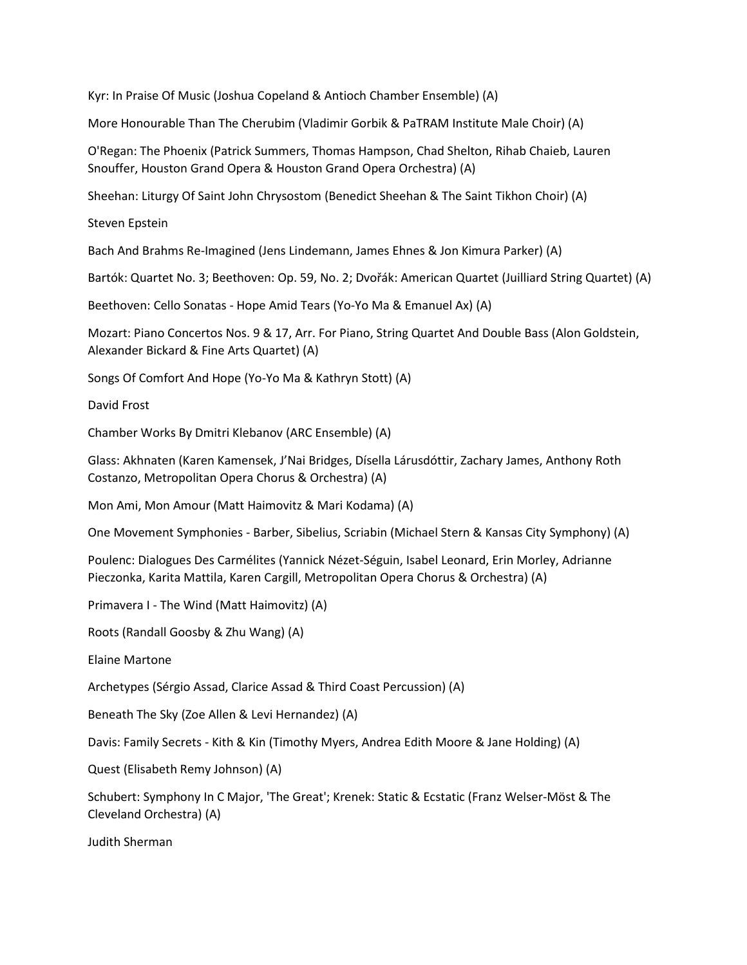Kyr: In Praise Of Music (Joshua Copeland & Antioch Chamber Ensemble) (A)

More Honourable Than The Cherubim (Vladimir Gorbik & PaTRAM Institute Male Choir) (A)

O'Regan: The Phoenix (Patrick Summers, Thomas Hampson, Chad Shelton, Rihab Chaieb, Lauren Snouffer, Houston Grand Opera & Houston Grand Opera Orchestra) (A)

Sheehan: Liturgy Of Saint John Chrysostom (Benedict Sheehan & The Saint Tikhon Choir) (A)

Steven Epstein

Bach And Brahms Re-Imagined (Jens Lindemann, James Ehnes & Jon Kimura Parker) (A)

Bartók: Quartet No. 3; Beethoven: Op. 59, No. 2; Dvořák: American Quartet (Juilliard String Quartet) (A)

Beethoven: Cello Sonatas - Hope Amid Tears (Yo-Yo Ma & Emanuel Ax) (A)

Mozart: Piano Concertos Nos. 9 & 17, Arr. For Piano, String Quartet And Double Bass (Alon Goldstein, Alexander Bickard & Fine Arts Quartet) (A)

Songs Of Comfort And Hope (Yo-Yo Ma & Kathryn Stott) (A)

David Frost

Chamber Works By Dmitri Klebanov (ARC Ensemble) (A)

Glass: Akhnaten (Karen Kamensek, J'Nai Bridges, Dísella Lárusdóttir, Zachary James, Anthony Roth Costanzo, Metropolitan Opera Chorus & Orchestra) (A)

Mon Ami, Mon Amour (Matt Haimovitz & Mari Kodama) (A)

One Movement Symphonies - Barber, Sibelius, Scriabin (Michael Stern & Kansas City Symphony) (A)

Poulenc: Dialogues Des Carmélites (Yannick Nézet-Séguin, Isabel Leonard, Erin Morley, Adrianne Pieczonka, Karita Mattila, Karen Cargill, Metropolitan Opera Chorus & Orchestra) (A)

Primavera I - The Wind (Matt Haimovitz) (A)

Roots (Randall Goosby & Zhu Wang) (A)

Elaine Martone

Archetypes (Sérgio Assad, Clarice Assad & Third Coast Percussion) (A)

Beneath The Sky (Zoe Allen & Levi Hernandez) (A)

Davis: Family Secrets - Kith & Kin (Timothy Myers, Andrea Edith Moore & Jane Holding) (A)

Quest (Elisabeth Remy Johnson) (A)

Schubert: Symphony In C Major, 'The Great'; Krenek: Static & Ecstatic (Franz Welser-Möst & The Cleveland Orchestra) (A)

Judith Sherman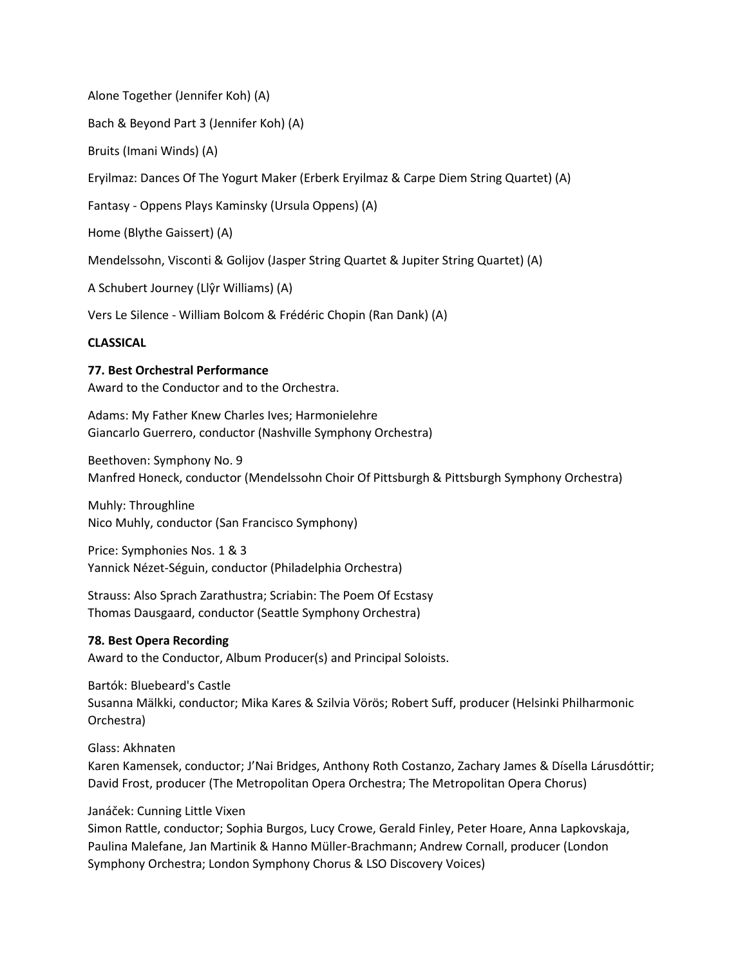Alone Together (Jennifer Koh) (A)

Bach & Beyond Part 3 (Jennifer Koh) (A)

Bruits (Imani Winds) (A)

Eryilmaz: Dances Of The Yogurt Maker (Erberk Eryilmaz & Carpe Diem String Quartet) (A)

Fantasy - Oppens Plays Kaminsky (Ursula Oppens) (A)

Home (Blythe Gaissert) (A)

Mendelssohn, Visconti & Golijov (Jasper String Quartet & Jupiter String Quartet) (A)

A Schubert Journey (Llŷr Williams) (A)

Vers Le Silence - William Bolcom & Frédéric Chopin (Ran Dank) (A)

## **CLASSICAL**

## **77. Best Orchestral Performance**

Award to the Conductor and to the Orchestra.

Adams: My Father Knew Charles Ives; Harmonielehre Giancarlo Guerrero, conductor (Nashville Symphony Orchestra)

Beethoven: Symphony No. 9 Manfred Honeck, conductor (Mendelssohn Choir Of Pittsburgh & Pittsburgh Symphony Orchestra)

Muhly: Throughline Nico Muhly, conductor (San Francisco Symphony)

Price: Symphonies Nos. 1 & 3 Yannick Nézet-Séguin, conductor (Philadelphia Orchestra)

Strauss: Also Sprach Zarathustra; Scriabin: The Poem Of Ecstasy Thomas Dausgaard, conductor (Seattle Symphony Orchestra)

## **78. Best Opera Recording**

Award to the Conductor, Album Producer(s) and Principal Soloists.

Bartók: Bluebeard's Castle Susanna Mälkki, conductor; Mika Kares & Szilvia Vörös; Robert Suff, producer (Helsinki Philharmonic Orchestra)

Glass: Akhnaten

Karen Kamensek, conductor; J'Nai Bridges, Anthony Roth Costanzo, Zachary James & Dísella Lárusdóttir; David Frost, producer (The Metropolitan Opera Orchestra; The Metropolitan Opera Chorus)

# Janáček: Cunning Little Vixen

Simon Rattle, conductor; Sophia Burgos, Lucy Crowe, Gerald Finley, Peter Hoare, Anna Lapkovskaja, Paulina Malefane, Jan Martinik & Hanno Müller-Brachmann; Andrew Cornall, producer (London Symphony Orchestra; London Symphony Chorus & LSO Discovery Voices)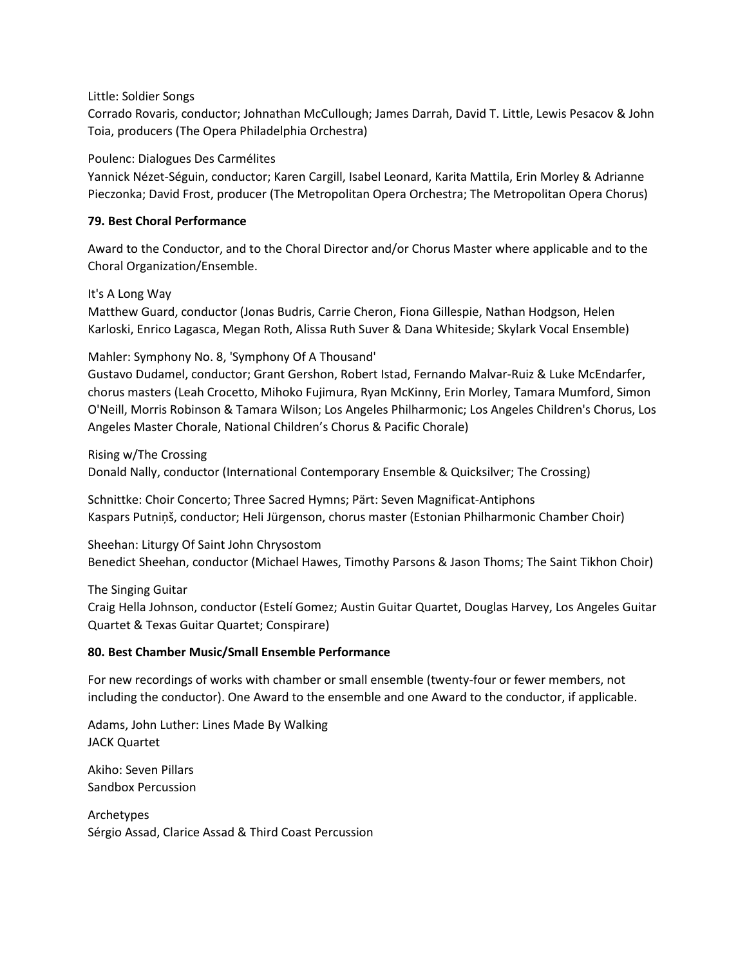## Little: Soldier Songs

Corrado Rovaris, conductor; Johnathan McCullough; James Darrah, David T. Little, Lewis Pesacov & John Toia, producers (The Opera Philadelphia Orchestra)

## Poulenc: Dialogues Des Carmélites

Yannick Nézet-Séguin, conductor; Karen Cargill, Isabel Leonard, Karita Mattila, Erin Morley & Adrianne Pieczonka; David Frost, producer (The Metropolitan Opera Orchestra; The Metropolitan Opera Chorus)

#### **79. Best Choral Performance**

Award to the Conductor, and to the Choral Director and/or Chorus Master where applicable and to the Choral Organization/Ensemble.

## It's A Long Way

Matthew Guard, conductor (Jonas Budris, Carrie Cheron, Fiona Gillespie, Nathan Hodgson, Helen Karloski, Enrico Lagasca, Megan Roth, Alissa Ruth Suver & Dana Whiteside; Skylark Vocal Ensemble)

## Mahler: Symphony No. 8, 'Symphony Of A Thousand'

Gustavo Dudamel, conductor; Grant Gershon, Robert Istad, Fernando Malvar-Ruiz & Luke McEndarfer, chorus masters (Leah Crocetto, Mihoko Fujimura, Ryan McKinny, Erin Morley, Tamara Mumford, Simon O'Neill, Morris Robinson & Tamara Wilson; Los Angeles Philharmonic; Los Angeles Children's Chorus, Los Angeles Master Chorale, National Children's Chorus & Pacific Chorale)

Rising w/The Crossing

Donald Nally, conductor (International Contemporary Ensemble & Quicksilver; The Crossing)

Schnittke: Choir Concerto; Three Sacred Hymns; Pärt: Seven Magnificat-Antiphons Kaspars Putniņš, conductor; Heli Jürgenson, chorus master (Estonian Philharmonic Chamber Choir)

Sheehan: Liturgy Of Saint John Chrysostom Benedict Sheehan, conductor (Michael Hawes, Timothy Parsons & Jason Thoms; The Saint Tikhon Choir)

The Singing Guitar Craig Hella Johnson, conductor (Estelí Gomez; Austin Guitar Quartet, Douglas Harvey, Los Angeles Guitar Quartet & Texas Guitar Quartet; Conspirare)

## **80. Best Chamber Music/Small Ensemble Performance**

For new recordings of works with chamber or small ensemble (twenty-four or fewer members, not including the conductor). One Award to the ensemble and one Award to the conductor, if applicable.

Adams, John Luther: Lines Made By Walking JACK Quartet

Akiho: Seven Pillars Sandbox Percussion

Archetypes Sérgio Assad, Clarice Assad & Third Coast Percussion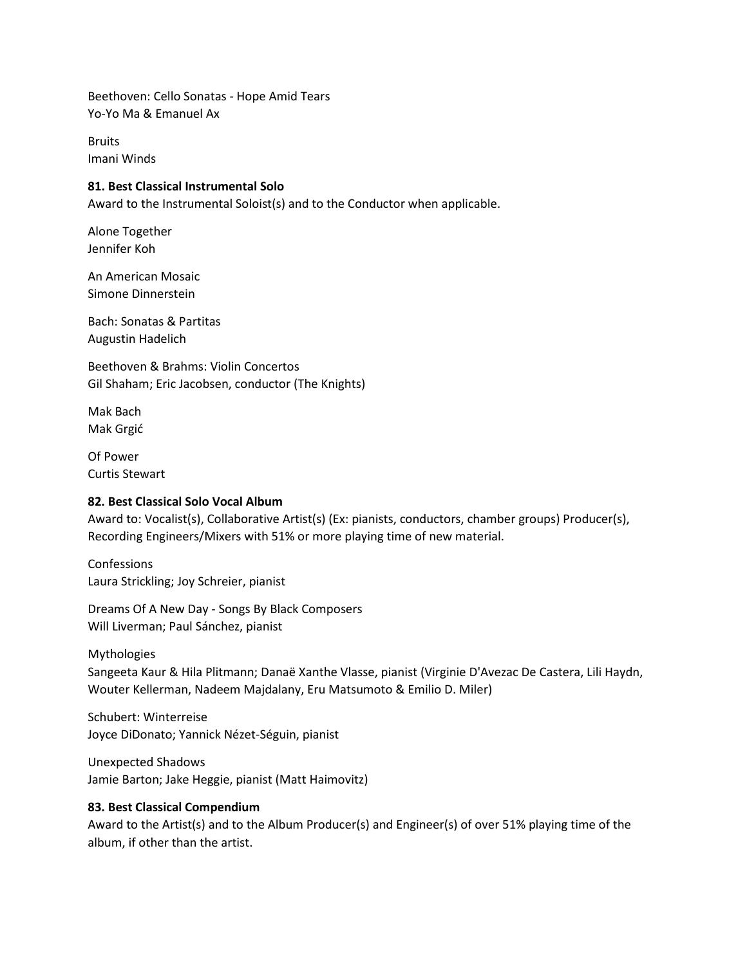Beethoven: Cello Sonatas - Hope Amid Tears Yo-Yo Ma & Emanuel Ax

Bruits Imani Winds

## **81. Best Classical Instrumental Solo**

Award to the Instrumental Soloist(s) and to the Conductor when applicable.

Alone Together Jennifer Koh

An American Mosaic Simone Dinnerstein

Bach: Sonatas & Partitas Augustin Hadelich

Beethoven & Brahms: Violin Concertos Gil Shaham; Eric Jacobsen, conductor (The Knights)

Mak Bach Mak Grgić

Of Power Curtis Stewart

## **82. Best Classical Solo Vocal Album**

Award to: Vocalist(s), Collaborative Artist(s) (Ex: pianists, conductors, chamber groups) Producer(s), Recording Engineers/Mixers with 51% or more playing time of new material.

Confessions Laura Strickling; Joy Schreier, pianist

Dreams Of A New Day - Songs By Black Composers Will Liverman; Paul Sánchez, pianist

Mythologies Sangeeta Kaur & Hila Plitmann; Danaë Xanthe Vlasse, pianist (Virginie D'Avezac De Castera, Lili Haydn, Wouter Kellerman, Nadeem Majdalany, Eru Matsumoto & Emilio D. Miler)

Schubert: Winterreise Joyce DiDonato; Yannick Nézet-Séguin, pianist

Unexpected Shadows Jamie Barton; Jake Heggie, pianist (Matt Haimovitz)

## **83. Best Classical Compendium**

Award to the Artist(s) and to the Album Producer(s) and Engineer(s) of over 51% playing time of the album, if other than the artist.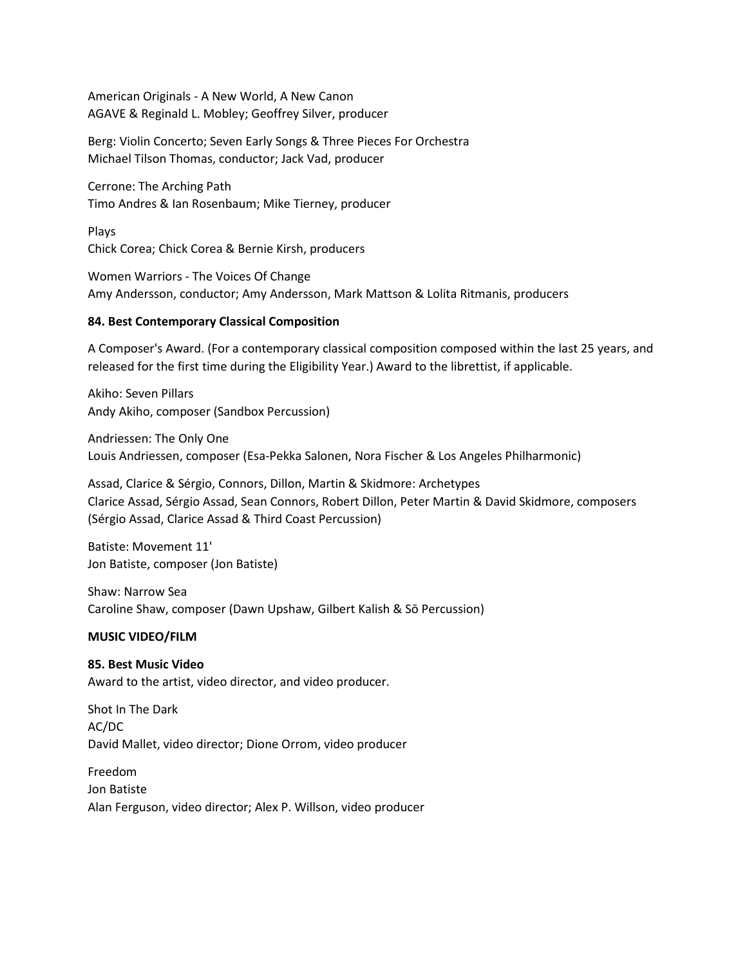American Originals - A New World, A New Canon AGAVE & Reginald L. Mobley; Geoffrey Silver, producer

Berg: Violin Concerto; Seven Early Songs & Three Pieces For Orchestra Michael Tilson Thomas, conductor; Jack Vad, producer

Cerrone: The Arching Path Timo Andres & Ian Rosenbaum; Mike Tierney, producer

Plays Chick Corea; Chick Corea & Bernie Kirsh, producers

Women Warriors - The Voices Of Change Amy Andersson, conductor; Amy Andersson, Mark Mattson & Lolita Ritmanis, producers

## **84. Best Contemporary Classical Composition**

A Composer's Award. (For a contemporary classical composition composed within the last 25 years, and released for the first time during the Eligibility Year.) Award to the librettist, if applicable.

Akiho: Seven Pillars Andy Akiho, composer (Sandbox Percussion)

Andriessen: The Only One Louis Andriessen, composer (Esa-Pekka Salonen, Nora Fischer & Los Angeles Philharmonic)

Assad, Clarice & Sérgio, Connors, Dillon, Martin & Skidmore: Archetypes Clarice Assad, Sérgio Assad, Sean Connors, Robert Dillon, Peter Martin & David Skidmore, composers (Sérgio Assad, Clarice Assad & Third Coast Percussion)

Batiste: Movement 11' Jon Batiste, composer (Jon Batiste)

Shaw: Narrow Sea Caroline Shaw, composer (Dawn Upshaw, Gilbert Kalish & Sō Percussion)

## **MUSIC VIDEO/FILM**

**85. Best Music Video** Award to the artist, video director, and video producer.

Shot In The Dark AC/DC David Mallet, video director; Dione Orrom, video producer

Freedom Jon Batiste Alan Ferguson, video director; Alex P. Willson, video producer